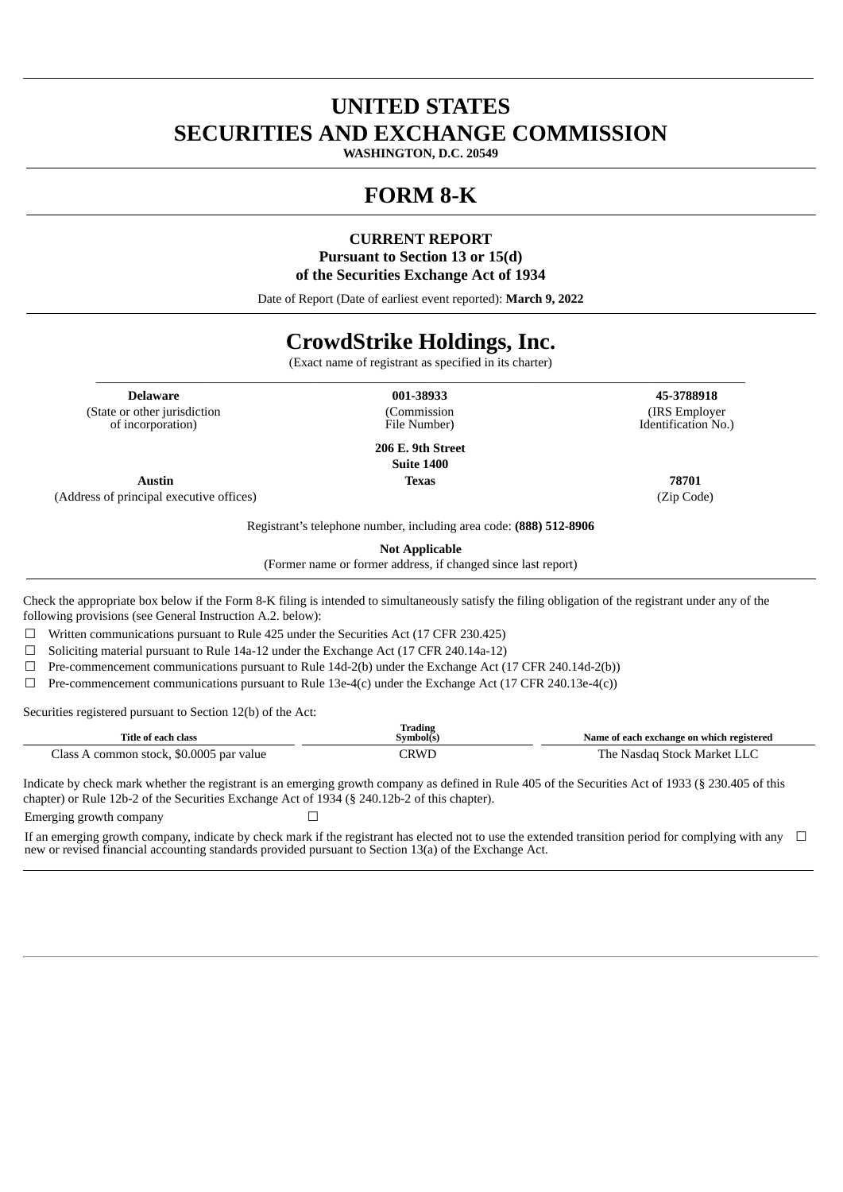# **UNITED STATES SECURITIES AND EXCHANGE COMMISSION**

**WASHINGTON, D.C. 20549**

# **FORM 8-K**

**CURRENT REPORT Pursuant to Section 13 or 15(d) of the Securities Exchange Act of 1934**

Date of Report (Date of earliest event reported): **March 9, 2022**

# **CrowdStrike Holdings, Inc.**

(Exact name of registrant as specified in its charter) \_\_\_\_\_\_\_\_\_\_\_\_\_\_\_\_\_\_\_\_\_\_\_\_\_\_\_\_\_\_\_\_\_\_\_\_\_\_\_\_\_\_\_\_\_\_\_\_\_\_\_\_\_\_\_\_\_\_\_\_\_\_\_\_\_\_\_\_\_\_\_\_\_\_\_\_\_\_\_\_\_\_\_\_\_\_\_\_\_\_\_\_\_\_\_\_\_\_\_\_\_\_

**Delaware 001-38933 45-3788918** (State or other jurisdiction of incorporation)

(Commission File Number)

**206 E. 9th Street Suite 1400 Austin Texas 78701**

(Address of principal executive offices) (Zip Code)

(IRS Employer Identification No.)

Registrant's telephone number, including area code: **(888) 512-8906**

**Not Applicable**

(Former name or former address, if changed since last report)

Check the appropriate box below if the Form 8‑K filing is intended to simultaneously satisfy the filing obligation of the registrant under any of the following provisions (see General Instruction A.2. below):

☐ Written communications pursuant to Rule 425 under the Securities Act (17 CFR 230.425)

 $\Box$  Soliciting material pursuant to Rule 14a-12 under the Exchange Act (17 CFR 240.14a-12)

 $\Box$  Pre-commencement communications pursuant to Rule 14d-2(b) under the Exchange Act (17 CFR 240.14d-2(b))

 $\Box$  Pre-commencement communications pursuant to Rule 13e-4(c) under the Exchange Act (17 CFR 240.13e-4(c))

Securities registered pursuant to Section 12(b) of the Act:

| Title of each class                               | Trading<br>svmbol(s | Name of each exchange on which registered |
|---------------------------------------------------|---------------------|-------------------------------------------|
| . \$0.0005 par value<br>lass<br>≅stock.<br>common | ™RW∟                | Market I<br>. he<br>Nasdad<br>stock       |

Indicate by check mark whether the registrant is an emerging growth company as defined in Rule 405 of the Securities Act of 1933 (§ 230.405 of this chapter) or Rule 12b-2 of the Securities Exchange Act of 1934 (§ 240.12b-2 of this chapter). Emerging growth company **□** 

If an emerging growth company, indicate by check mark if the registrant has elected not to use the extended transition period for complying with any new or revised financial accounting standards provided pursuant to Section 13(a) of the Exchange Act. ☐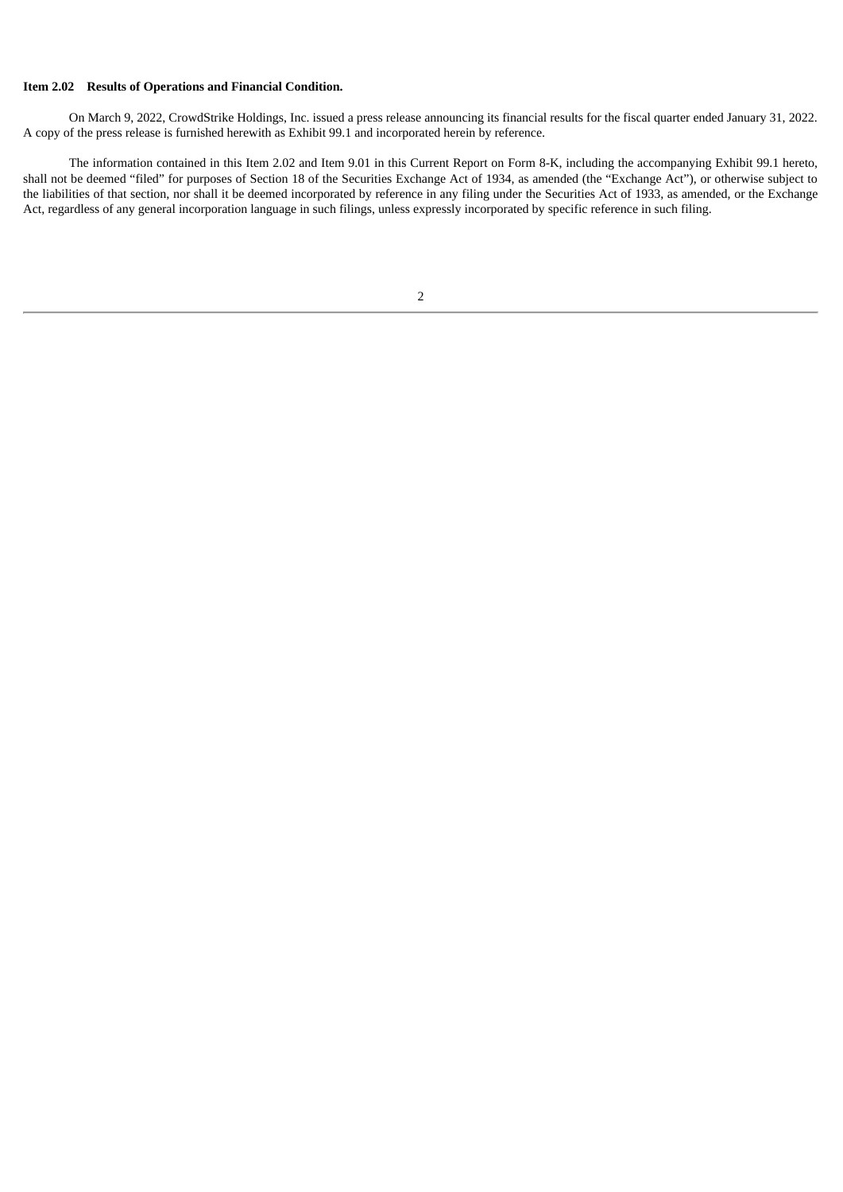### **Item 2.02 Results of Operations and Financial Condition.**

On March 9, 2022, CrowdStrike Holdings, Inc. issued a press release announcing its financial results for the fiscal quarter ended January 31, 2022. A copy of the press release is furnished herewith as Exhibit 99.1 and incorporated herein by reference.

The information contained in this Item 2.02 and Item 9.01 in this Current Report on Form 8-K, including the accompanying Exhibit 99.1 hereto, shall not be deemed "filed" for purposes of Section 18 of the Securities Exchange Act of 1934, as amended (the "Exchange Act"), or otherwise subject to the liabilities of that section, nor shall it be deemed incorporated by reference in any filing under the Securities Act of 1933, as amended, or the Exchange Act, regardless of any general incorporation language in such filings, unless expressly incorporated by specific reference in such filing.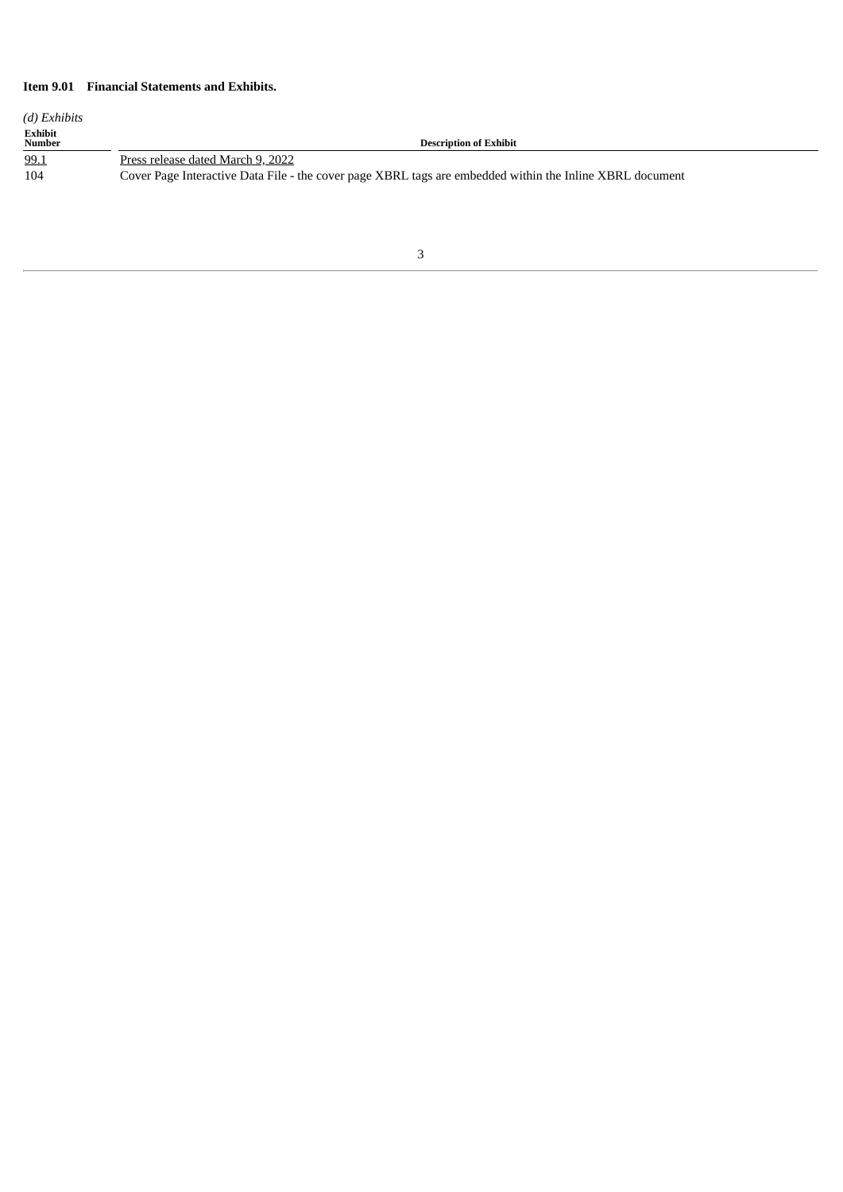# **Item 9.01 Financial Statements and Exhibits.**

| (d) Exhibits             |                                                                                                          |
|--------------------------|----------------------------------------------------------------------------------------------------------|
| <b>Exhibit</b><br>Number | <b>Description of Exhibit</b>                                                                            |
| 99.1                     | Press release dated March 9, 2022                                                                        |
| 104                      | Cover Page Interactive Data File - the cover page XBRL tags are embedded within the Inline XBRL document |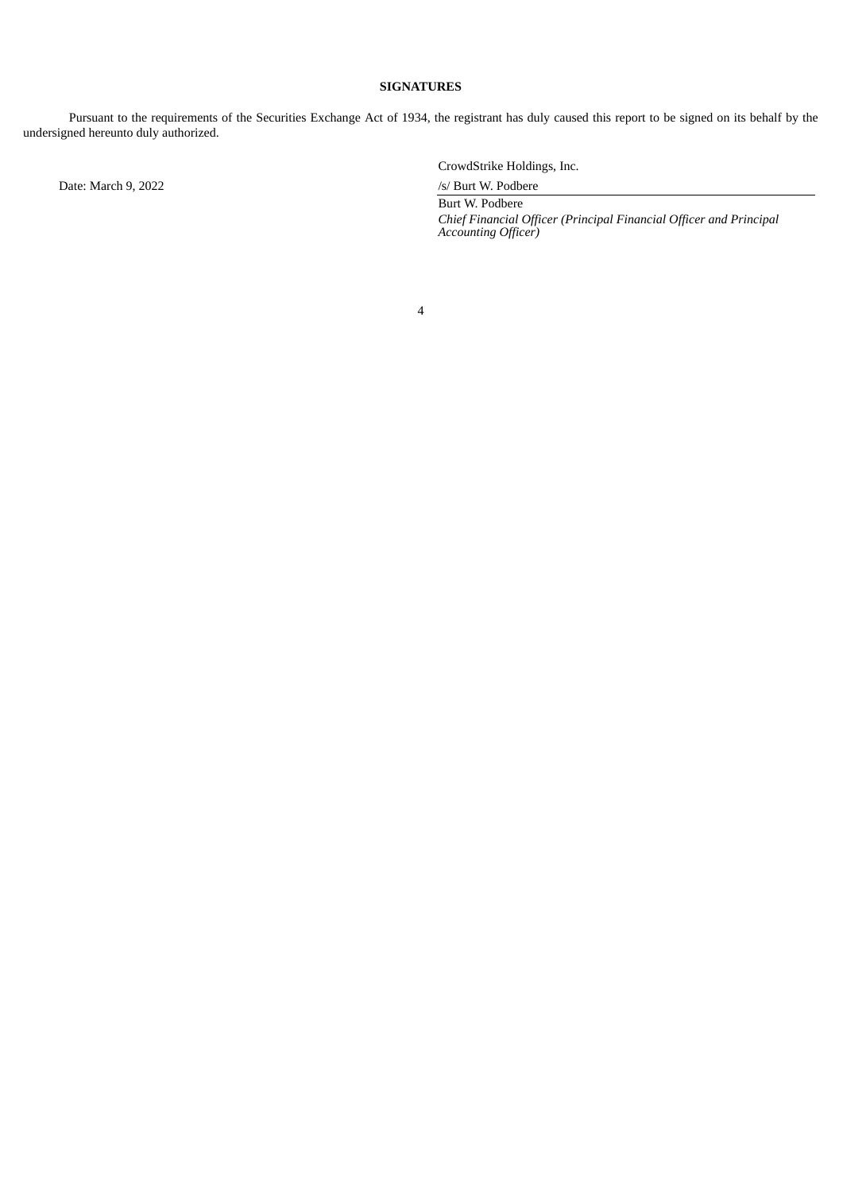### **SIGNATURES**

Pursuant to the requirements of the Securities Exchange Act of 1934, the registrant has duly caused this report to be signed on its behalf by the undersigned hereunto duly authorized.

Date: March 9, 2022 /s/ Burt W. Podbere

CrowdStrike Holdings, Inc.

Burt W. Podbere *Chief Financial Officer (Principal Financial Officer and Principal Accounting Officer)*

4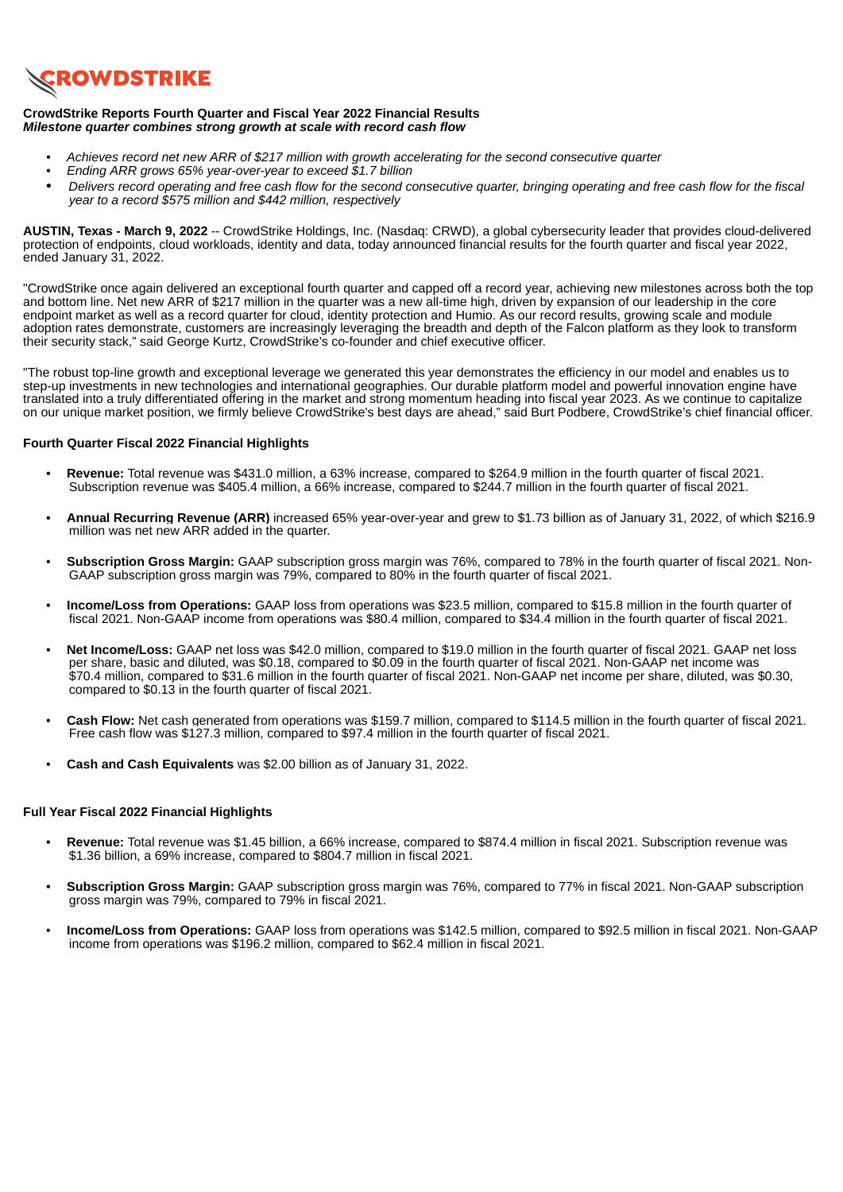<span id="page-4-0"></span>

### **CrowdStrike Reports Fourth Quarter and Fiscal Year 2022 Financial Results** *Milestone quarter combines strong growth at scale with record cash flow*

- *• Achieves record net new ARR of \$217 million with growth accelerating for the second consecutive quarter*
- *• Ending ARR grows 65% year-over-year to exceed \$1.7 billion*
- Delivers record operating and free cash flow for the second consecutive quarter, bringing operating and free cash flow for the fiscal *year to a record \$575 million and \$442 million, respectively*

**AUSTIN, Texas - March 9, 2022** -- CrowdStrike Holdings, Inc. (Nasdaq: CRWD), a global cybersecurity leader that provides cloud-delivered protection of endpoints, cloud workloads, identity and data, today announced financial results for the fourth quarter and fiscal year 2022, ended January 31, 2022.

"CrowdStrike once again delivered an exceptional fourth quarter and capped off a record year, achieving new milestones across both the top and bottom line. Net new ARR of \$217 million in the quarter was a new all-time high, driven by expansion of our leadership in the core endpoint market as well as a record quarter for cloud, identity protection and Humio. As our record results, growing scale and module adoption rates demonstrate, customers are increasingly leveraging the breadth and depth of the Falcon platform as they look to transform their security stack," said George Kurtz, CrowdStrike's co-founder and chief executive officer.

"The robust top-line growth and exceptional leverage we generated this year demonstrates the efficiency in our model and enables us to step-up investments in new technologies and international geographies. Our durable platform model and powerful innovation engine have translated into a truly differentiated offering in the market and strong momentum heading into fiscal year 2023. As we continue to capitalize on our unique market position, we firmly believe CrowdStrike's best days are ahead," said Burt Podbere, CrowdStrike's chief financial officer.

### **Fourth Quarter Fiscal 2022 Financial Highlights**

- **Revenue:** Total revenue was \$431.0 million, a 63% increase, compared to \$264.9 million in the fourth quarter of fiscal 2021. Subscription revenue was \$405.4 million, a 66% increase, compared to \$244.7 million in the fourth quarter of fiscal 2021.
- **Annual Recurring Revenue (ARR)** increased 65% year-over-year and grew to \$1.73 billion as of January 31, 2022, of which \$216.9 million was net new ARR added in the quarter.
- **Subscription Gross Margin:** GAAP subscription gross margin was 76%, compared to 78% in the fourth quarter of fiscal 2021. Non-GAAP subscription gross margin was 79%, compared to 80% in the fourth quarter of fiscal 2021.
- **Income/Loss from Operations:** GAAP loss from operations was \$23.5 million, compared to \$15.8 million in the fourth quarter of fiscal 2021. Non-GAAP income from operations was \$80.4 million, compared to \$34.4 million in the fourth quarter of fiscal 2021.
- **Net Income/Loss:** GAAP net loss was \$42.0 million, compared to \$19.0 million in the fourth quarter of fiscal 2021. GAAP net loss per share, basic and diluted, was \$0.18, compared to \$0.09 in the fourth quarter of fiscal 2021. Non-GAAP net income was \$70.4 million, compared to \$31.6 million in the fourth quarter of fiscal 2021. Non-GAAP net income per share, diluted, was \$0.30, compared to \$0.13 in the fourth quarter of fiscal 2021.
- **Cash Flow:** Net cash generated from operations was \$159.7 million, compared to \$114.5 million in the fourth quarter of fiscal 2021. Free cash flow was \$127.3 million, compared to \$97.4 million in the fourth quarter of fiscal 2021.
- **Cash and Cash Equivalents** was \$2.00 billion as of January 31, 2022.

### **Full Year Fiscal 2022 Financial Highlights**

- **Revenue:** Total revenue was \$1.45 billion, a 66% increase, compared to \$874.4 million in fiscal 2021. Subscription revenue was \$1.36 billion, a 69% increase, compared to \$804.7 million in fiscal 2021.
- **Subscription Gross Margin:** GAAP subscription gross margin was 76%, compared to 77% in fiscal 2021. Non-GAAP subscription gross margin was 79%, compared to 79% in fiscal 2021.
- **Income/Loss from Operations:** GAAP loss from operations was \$142.5 million, compared to \$92.5 million in fiscal 2021. Non-GAAP income from operations was \$196.2 million, compared to \$62.4 million in fiscal 2021.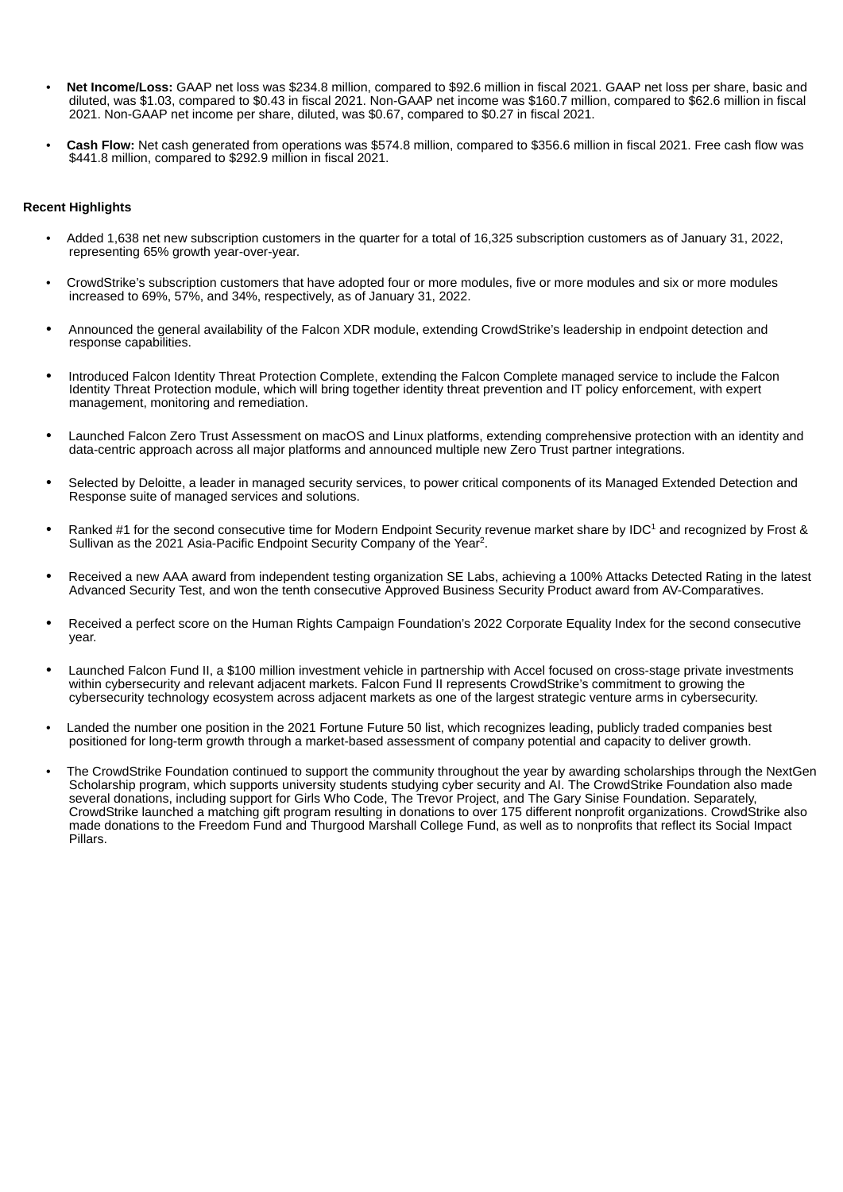- **Net Income/Loss:** GAAP net loss was \$234.8 million, compared to \$92.6 million in fiscal 2021. GAAP net loss per share, basic and diluted, was \$1.03, compared to \$0.43 in fiscal 2021. Non-GAAP net income was \$160.7 million, compared to \$62.6 million in fiscal 2021. Non-GAAP net income per share, diluted, was \$0.67, compared to \$0.27 in fiscal 2021.
- **Cash Flow:** Net cash generated from operations was \$574.8 million, compared to \$356.6 million in fiscal 2021. Free cash flow was \$441.8 million, compared to \$292.9 million in fiscal 2021.

### **Recent Highlights**

- Added 1,638 net new subscription customers in the quarter for a total of 16,325 subscription customers as of January 31, 2022, representing 65% growth year-over-year.
- CrowdStrike's subscription customers that have adopted four or more modules, five or more modules and six or more modules increased to 69%, 57%, and 34%, respectively, as of January 31, 2022.
- Announced the general availability of the Falcon XDR module, extending CrowdStrike's leadership in endpoint detection and response capabilities.
- Introduced Falcon Identity Threat Protection Complete, extending the Falcon Complete managed service to include the Falcon Identity Threat Protection module, which will bring together identity threat prevention and IT policy enforcement, with expert management, monitoring and remediation.
- Launched Falcon Zero Trust Assessment on macOS and Linux platforms, extending comprehensive protection with an identity and data-centric approach across all major platforms and announced multiple new Zero Trust partner integrations.
- Selected by Deloitte, a leader in managed security services, to power critical components of its Managed Extended Detection and Response suite of managed services and solutions.
- Ranked #1 for the second consecutive time for Modern Endpoint Security revenue market share by IDC<sup>1</sup> and recognized by Frost & Sullivan as the 2021 Asia-Pacific Endpoint Security Company of the Year<sup>2</sup>.
- Received a new AAA award from independent testing organization SE Labs, achieving a 100% Attacks Detected Rating in the latest Advanced Security Test, and won the tenth consecutive Approved Business Security Product award from AV-Comparatives.
- Received a perfect score on the Human Rights Campaign Foundation's 2022 Corporate Equality Index for the second consecutive year.
- Launched Falcon Fund II, a \$100 million investment vehicle in partnership with Accel focused on cross-stage private investments within cybersecurity and relevant adjacent markets. Falcon Fund II represents CrowdStrike's commitment to growing the cybersecurity technology ecosystem across adjacent markets as one of the largest strategic venture arms in cybersecurity.
- Landed the number one position in the 2021 Fortune Future 50 list, which recognizes leading, publicly traded companies best positioned for long-term growth through a market-based assessment of company potential and capacity to deliver growth.
- The CrowdStrike Foundation continued to support the community throughout the year by awarding scholarships through the NextGen Scholarship program, which supports university students studying cyber security and AI. The CrowdStrike Foundation also made several donations, including support for Girls Who Code, The Trevor Project, and The Gary Sinise Foundation. Separately, CrowdStrike launched a matching gift program resulting in donations to over 175 different nonprofit organizations. CrowdStrike also made donations to the Freedom Fund and Thurgood Marshall College Fund, as well as to nonprofits that reflect its Social Impact Pillars.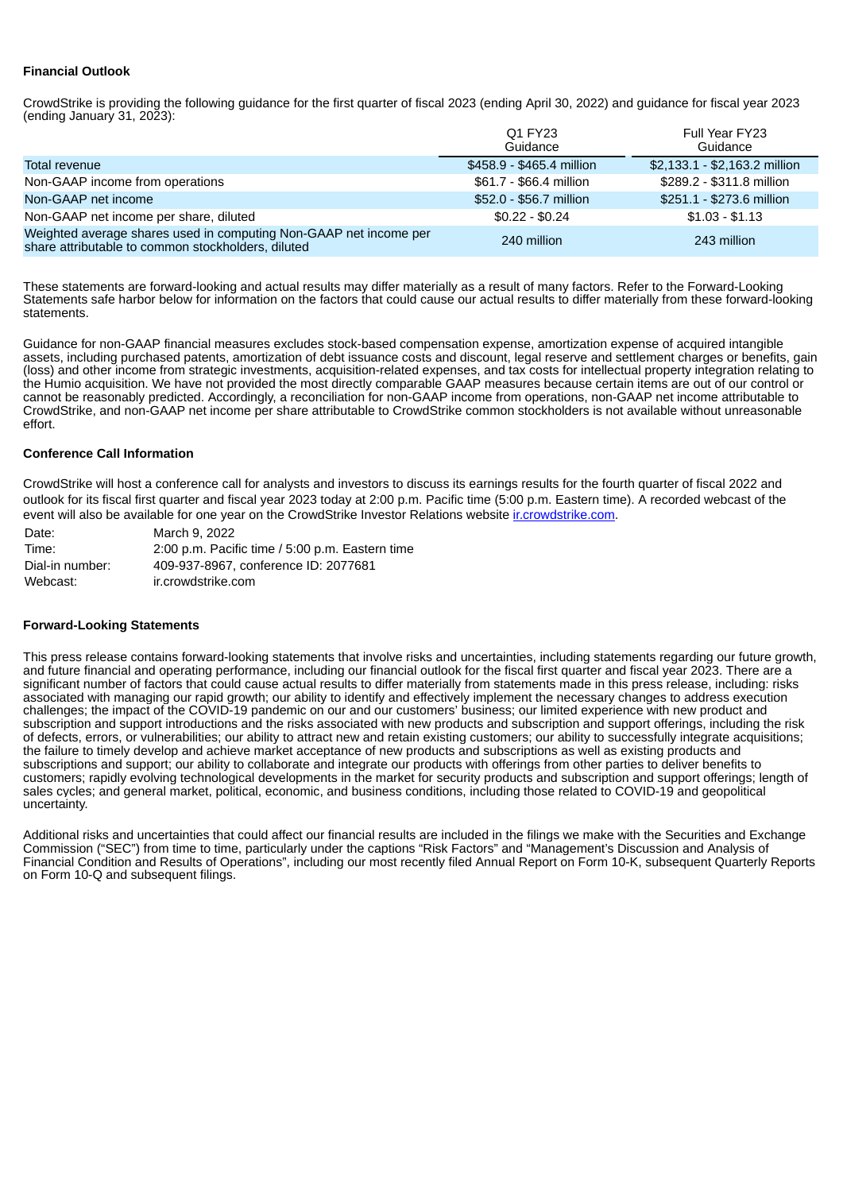# **Financial Outlook**

CrowdStrike is providing the following guidance for the first quarter of fiscal 2023 (ending April 30, 2022) and guidance for fiscal year 2023  $(ending January 31, 2023)$ :

|                                                                                                                         | O1 FY23<br>Guidance       | Full Year FY23<br>Guidance    |
|-------------------------------------------------------------------------------------------------------------------------|---------------------------|-------------------------------|
| Total revenue                                                                                                           | \$458.9 - \$465.4 million | $$2,133.1 - $2,163.2$ million |
| Non-GAAP income from operations                                                                                         | \$61.7 - \$66.4 million   | \$289.2 - \$311.8 million     |
| Non-GAAP net income                                                                                                     | \$52.0 - \$56.7 million   | \$251.1 - \$273.6 million     |
| Non-GAAP net income per share, diluted                                                                                  | $$0.22 - $0.24$           | $$1.03 - $1.13$               |
| Weighted average shares used in computing Non-GAAP net income per<br>share attributable to common stockholders, diluted | 240 million               | 243 million                   |

These statements are forward-looking and actual results may differ materially as a result of many factors. Refer to the Forward-Looking Statements safe harbor below for information on the factors that could cause our actual results to differ materially from these forward-looking statements.

Guidance for non-GAAP financial measures excludes stock-based compensation expense, amortization expense of acquired intangible assets, including purchased patents, amortization of debt issuance costs and discount, legal reserve and settlement charges or benefits, gain (loss) and other income from strategic investments, acquisition-related expenses, and tax costs for intellectual property integration relating to the Humio acquisition. We have not provided the most directly comparable GAAP measures because certain items are out of our control or cannot be reasonably predicted. Accordingly, a reconciliation for non-GAAP income from operations, non-GAAP net income attributable to CrowdStrike, and non-GAAP net income per share attributable to CrowdStrike common stockholders is not available without unreasonable effort.

### **Conference Call Information**

CrowdStrike will host a conference call for analysts and investors to discuss its earnings results for the fourth quarter of fiscal 2022 and outlook for its fiscal first quarter and fiscal year 2023 today at 2:00 p.m. Pacific time (5:00 p.m. Eastern time). A recorded webcast of the event will also be available for one year on the CrowdStrike Investor Relations website ir.crowdstrike.com.

| Date:           | March 9, 2022                                   |
|-----------------|-------------------------------------------------|
| Time:           | 2:00 p.m. Pacific time / 5:00 p.m. Eastern time |
| Dial-in number: | 409-937-8967, conference ID: 2077681            |
| Webcast:        | ir.crowdstrike.com                              |

#### **Forward-Looking Statements**

This press release contains forward-looking statements that involve risks and uncertainties, including statements regarding our future growth, and future financial and operating performance, including our financial outlook for the fiscal first quarter and fiscal year 2023. There are a significant number of factors that could cause actual results to differ materially from statements made in this press release, including: risks associated with managing our rapid growth; our ability to identify and effectively implement the necessary changes to address execution challenges; the impact of the COVID-19 pandemic on our and our customers' business; our limited experience with new product and subscription and support introductions and the risks associated with new products and subscription and support offerings, including the risk of defects, errors, or vulnerabilities; our ability to attract new and retain existing customers; our ability to successfully integrate acquisitions; the failure to timely develop and achieve market acceptance of new products and subscriptions as well as existing products and subscriptions and support; our ability to collaborate and integrate our products with offerings from other parties to deliver benefits to customers; rapidly evolving technological developments in the market for security products and subscription and support offerings; length of sales cycles; and general market, political, economic, and business conditions, including those related to COVID-19 and geopolitical uncertainty.

Additional risks and uncertainties that could affect our financial results are included in the filings we make with the Securities and Exchange Commission ("SEC") from time to time, particularly under the captions "Risk Factors" and "Management's Discussion and Analysis of Financial Condition and Results of Operations", including our most recently filed Annual Report on Form 10-K, subsequent Quarterly Reports on Form 10-Q and subsequent filings.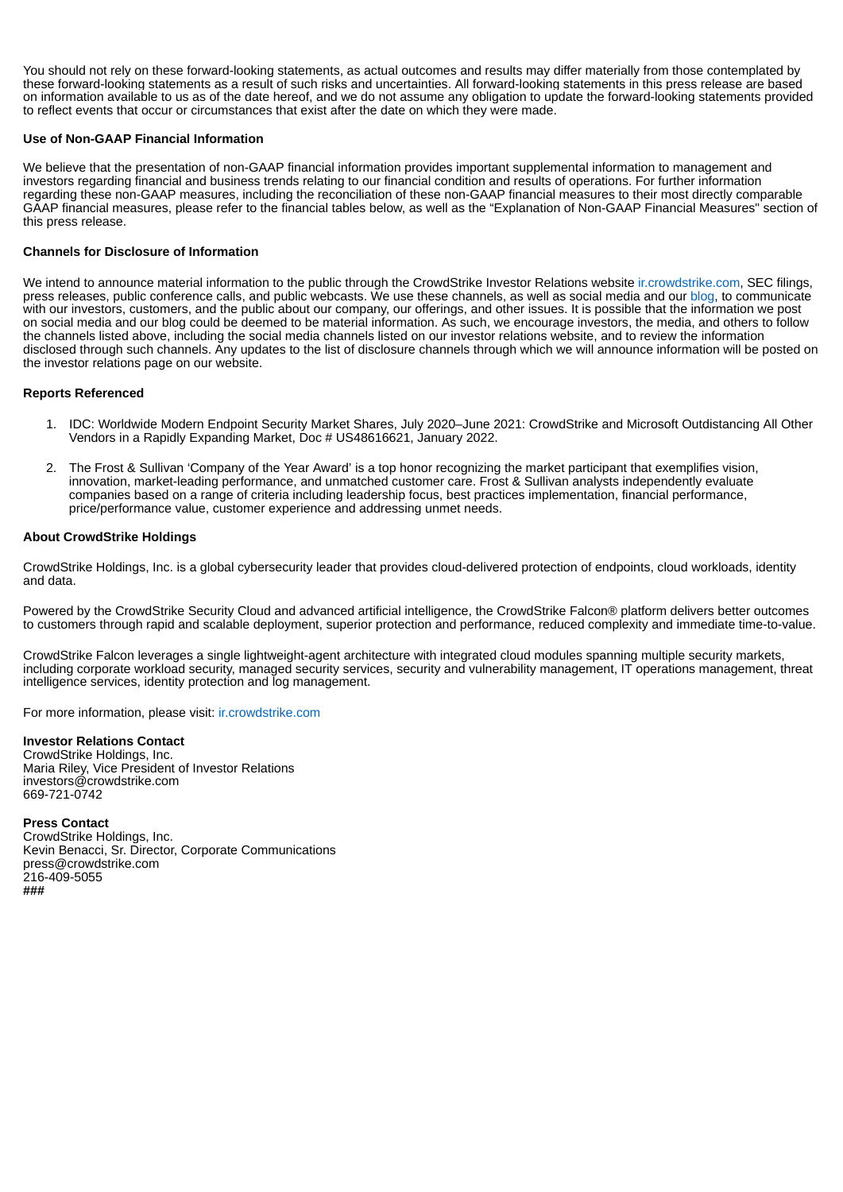You should not rely on these forward-looking statements, as actual outcomes and results may differ materially from those contemplated by these forward-looking statements as a result of such risks and uncertainties. All forward-looking statements in this press release are based on information available to us as of the date hereof, and we do not assume any obligation to update the forward-looking statements provided to reflect events that occur or circumstances that exist after the date on which they were made.

### **Use of Non-GAAP Financial Information**

We believe that the presentation of non-GAAP financial information provides important supplemental information to management and investors regarding financial and business trends relating to our financial condition and results of operations. For further information regarding these non-GAAP measures, including the reconciliation of these non-GAAP financial measures to their most directly comparable GAAP financial measures, please refer to the financial tables below, as well as the "Explanation of Non-GAAP Financial Measures" section of this press release.

### **Channels for Disclosure of Information**

We intend to announce material information to the public through the CrowdStrike Investor Relations website incrowdstrike.com, SEC filings, press releases, public conference calls, and public webcasts. We use these channels, as well as social media and our blog, to communicate with our investors, customers, and the public about our company, our offerings, and other issues. It is possible that the information we post on social media and our blog could be deemed to be material information. As such, we encourage investors, the media, and others to follow the channels listed above, including the social media channels listed on our investor relations website, and to review the information disclosed through such channels. Any updates to the list of disclosure channels through which we will announce information will be posted on the investor relations page on our website.

### **Reports Referenced**

- 1. IDC: Worldwide Modern Endpoint Security Market Shares, July 2020–June 2021: CrowdStrike and Microsoft Outdistancing All Other Vendors in a Rapidly Expanding Market, Doc # US48616621, January 2022.
- 2. The Frost & Sullivan 'Company of the Year Award' is a top honor recognizing the market participant that exemplifies vision, innovation, market-leading performance, and unmatched customer care. Frost & Sullivan analysts independently evaluate companies based on a range of criteria including leadership focus, best practices implementation, financial performance, price/performance value, customer experience and addressing unmet needs.

### **About CrowdStrike Holdings**

CrowdStrike Holdings, Inc. is a global cybersecurity leader that provides cloud-delivered protection of endpoints, cloud workloads, identity and data.

Powered by the CrowdStrike Security Cloud and advanced artificial intelligence, the CrowdStrike Falcon® platform delivers better outcomes to customers through rapid and scalable deployment, superior protection and performance, reduced complexity and immediate time-to-value.

CrowdStrike Falcon leverages a single lightweight-agent architecture with integrated cloud modules spanning multiple security markets, including corporate workload security, managed security services, security and vulnerability management, IT operations management, threat intelligence services, identity protection and log management.

For more information, please visit: ir.crowdstrike.com

#### **Investor Relations Contact**

CrowdStrike Holdings, Inc. Maria Riley, Vice President of Investor Relations investors@crowdstrike.com 669-721-0742

#### **Press Contact**

CrowdStrike Holdings, Inc. Kevin Benacci, Sr. Director, Corporate Communications press@crowdstrike.com 216-409-5055 **###**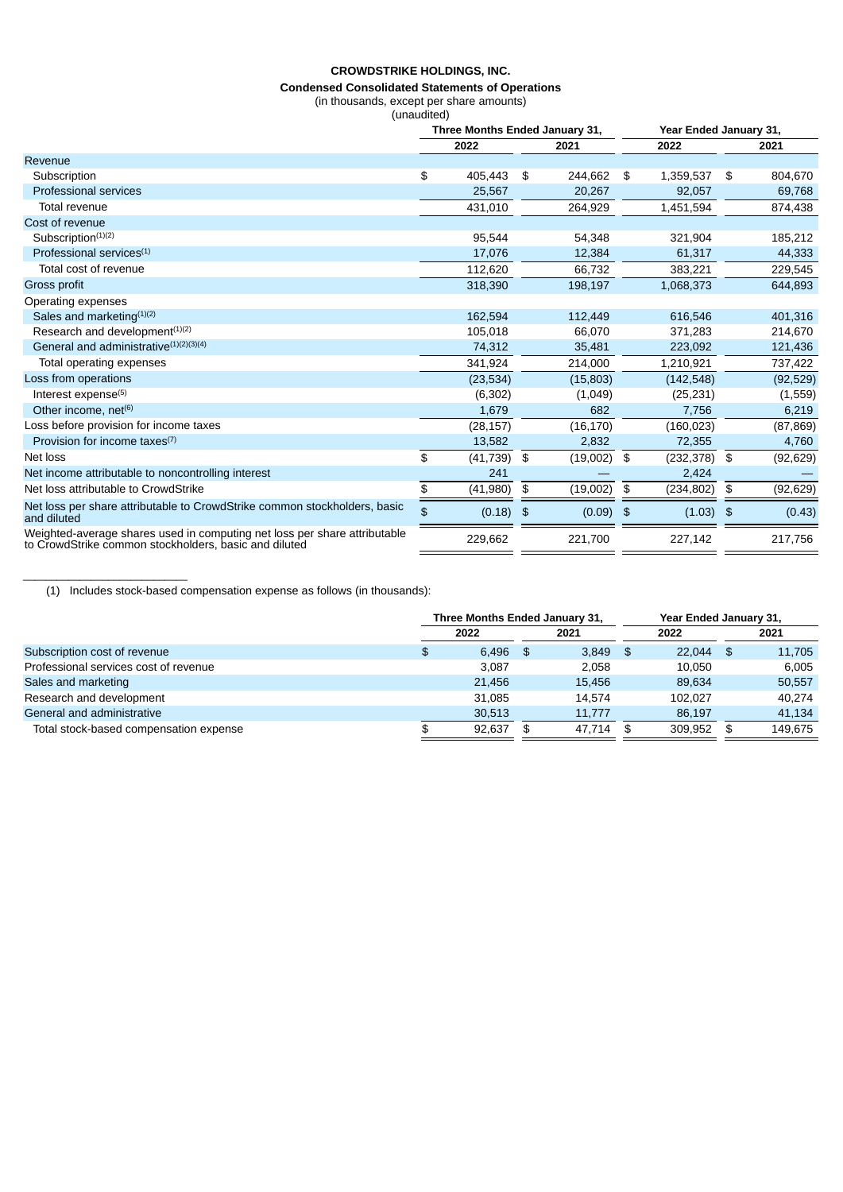#### **Condensed Consolidated Statements of Operations**

(in thousands, except per share amounts)

(unaudited)

|                                                                                                                                    | Three Months Ended January 31, |             |    |             | Year Ended January 31, |                 |
|------------------------------------------------------------------------------------------------------------------------------------|--------------------------------|-------------|----|-------------|------------------------|-----------------|
|                                                                                                                                    |                                | 2022        |    | 2021        | 2022                   | 2021            |
| Revenue                                                                                                                            |                                |             |    |             |                        |                 |
| Subscription                                                                                                                       | \$                             | 405,443     | \$ | 244,662     | \$<br>1,359,537        | \$<br>804,670   |
| <b>Professional services</b>                                                                                                       |                                | 25,567      |    | 20,267      | 92,057                 | 69,768          |
| Total revenue                                                                                                                      |                                | 431,010     |    | 264.929     | 1,451,594              | 874,438         |
| Cost of revenue                                                                                                                    |                                |             |    |             |                        |                 |
| Subscription <sup>(1)(2)</sup>                                                                                                     |                                | 95,544      |    | 54,348      | 321,904                | 185,212         |
| Professional services <sup>(1)</sup>                                                                                               |                                | 17,076      |    | 12,384      | 61,317                 | 44,333          |
| Total cost of revenue                                                                                                              |                                | 112,620     |    | 66,732      | 383,221                | 229,545         |
| Gross profit                                                                                                                       |                                | 318,390     |    | 198,197     | 1,068,373              | 644,893         |
| Operating expenses                                                                                                                 |                                |             |    |             |                        |                 |
| Sales and marketing <sup>(1)(2)</sup>                                                                                              |                                | 162,594     |    | 112,449     | 616,546                | 401,316         |
| Research and development <sup>(1)(2)</sup>                                                                                         |                                | 105,018     |    | 66,070      | 371,283                | 214,670         |
| General and administrative <sup>(1)(2)(3)(4)</sup>                                                                                 |                                | 74,312      |    | 35,481      | 223,092                | 121,436         |
| Total operating expenses                                                                                                           |                                | 341,924     |    | 214,000     | 1,210,921              | 737,422         |
| Loss from operations                                                                                                               |                                | (23, 534)   |    | (15, 803)   | (142, 548)             | (92, 529)       |
| Interest expense <sup>(5)</sup>                                                                                                    |                                | (6,302)     |    | (1,049)     | (25, 231)              | (1,559)         |
| Other income, net <sup>(6)</sup>                                                                                                   |                                | 1,679       |    | 682         | 7,756                  | 6,219           |
| Loss before provision for income taxes                                                                                             |                                | (28, 157)   |    | (16, 170)   | (160, 023)             | (87, 869)       |
| Provision for income taxes <sup>(7)</sup>                                                                                          |                                | 13,582      |    | 2,832       | 72,355                 | 4,760           |
| Net loss                                                                                                                           | \$                             | (41, 739)   | \$ | (19,002)    | \$<br>(232, 378)       | \$<br>(92, 629) |
| Net income attributable to noncontrolling interest                                                                                 |                                | 241         |    |             | 2,424                  |                 |
| Net loss attributable to CrowdStrike                                                                                               | \$                             | (41,980)    | \$ | (19,002)    | \$<br>(234, 802)       | \$<br>(92, 629) |
| Net loss per share attributable to CrowdStrike common stockholders, basic<br>and diluted                                           | \$                             | $(0.18)$ \$ |    | $(0.09)$ \$ | $(1.03)$ \$            | (0.43)          |
| Weighted-average shares used in computing net loss per share attributable<br>to CrowdStrike common stockholders, basic and diluted |                                | 229,662     |    | 221,700     | 227,142                | 217,756         |

(1) Includes stock-based compensation expense as follows (in thousands):

\_\_\_\_\_\_\_\_\_\_\_\_\_\_\_\_\_\_\_\_\_\_\_\_\_\_\_\_\_

|                                        | Three Months Ended January 31, |        |     |        |      | Year Ended January 31, |    |         |  |
|----------------------------------------|--------------------------------|--------|-----|--------|------|------------------------|----|---------|--|
|                                        |                                | 2022   |     | 2021   |      | 2022                   |    | 2021    |  |
| Subscription cost of revenue           | Ф                              | 6.496  | -SG | 3.849  | - 36 | 22.044                 | \$ | 11,705  |  |
| Professional services cost of revenue  |                                | 3.087  |     | 2.058  |      | 10.050                 |    | 6.005   |  |
| Sales and marketing                    |                                | 21.456 |     | 15.456 |      | 89.634                 |    | 50,557  |  |
| Research and development               |                                | 31.085 |     | 14.574 |      | 102.027                |    | 40.274  |  |
| General and administrative             |                                | 30.513 |     | 11.777 |      | 86.197                 |    | 41.134  |  |
| Total stock-based compensation expense |                                | 92,637 |     | 47.714 |      | 309.952                |    | 149.675 |  |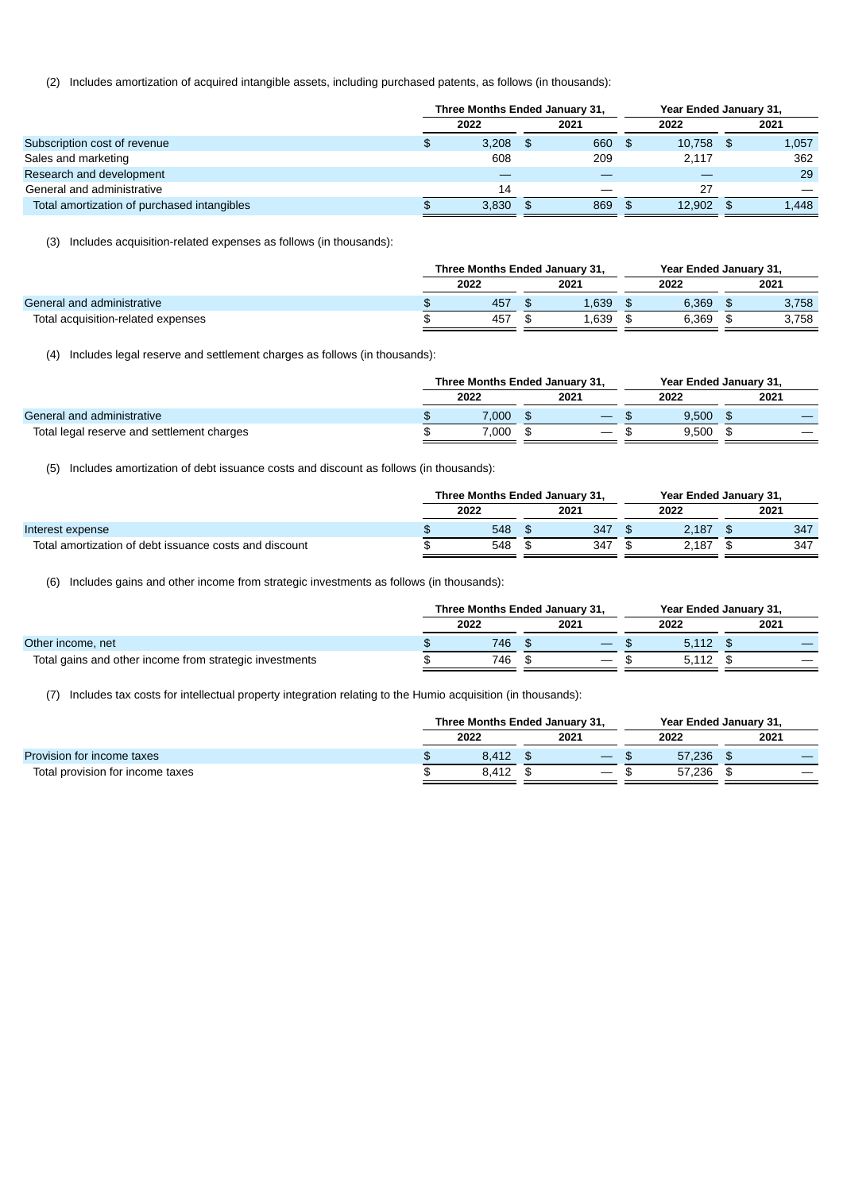(2) Includes amortization of acquired intangible assets, including purchased patents, as follows (in thousands):

|                                             | Three Months Ended January 31, |       |  |        | Year Ended January 31, |        |  |       |
|---------------------------------------------|--------------------------------|-------|--|--------|------------------------|--------|--|-------|
|                                             |                                | 2022  |  | 2021   |                        | 2022   |  | 2021  |
| Subscription cost of revenue                | \$                             | 3.208 |  | 660 \$ |                        | 10.758 |  | 1,057 |
| Sales and marketing                         |                                | 608   |  | 209    |                        | 2.117  |  | 362   |
| Research and development                    |                                |       |  |        |                        |        |  | 29    |
| General and administrative                  |                                | 14    |  |        |                        | 27     |  |       |
| Total amortization of purchased intangibles |                                | 3.830 |  | 869    |                        | 12.902 |  | 1,448 |

(3) Includes acquisition-related expenses as follows (in thousands):

|                                    | Three Months Ended January 31, |      |  |       |  | Year Ended January 31, |  |       |  |
|------------------------------------|--------------------------------|------|--|-------|--|------------------------|--|-------|--|
|                                    |                                | 2022 |  | 2021  |  | 2022                   |  | 2021  |  |
| General and administrative         |                                | 457  |  | 1.639 |  | 6.369                  |  | 3.758 |  |
| Total acquisition-related expenses |                                | 457  |  | 1.639 |  | 6.369                  |  | 3.758 |  |
|                                    |                                |      |  |       |  |                        |  |       |  |

(4) Includes legal reserve and settlement charges as follows (in thousands):

|                                            | Three Months Ended January 31, |       |  |      |  | Year Ended January 31, |  |                          |  |
|--------------------------------------------|--------------------------------|-------|--|------|--|------------------------|--|--------------------------|--|
|                                            |                                | 2022  |  | 2021 |  | 2022                   |  | 2021                     |  |
| General and administrative                 |                                | 7.000 |  |      |  | 9.500                  |  |                          |  |
| Total legal reserve and settlement charges |                                | 7.000 |  |      |  | 9.500                  |  | $\overline{\phantom{a}}$ |  |

(5) Includes amortization of debt issuance costs and discount as follows (in thousands):

|                                                        | Three Months Ended January 31. |  |      |  | Year Ended January 31, |  |      |  |
|--------------------------------------------------------|--------------------------------|--|------|--|------------------------|--|------|--|
|                                                        | 2022                           |  | 2021 |  | 2022                   |  | 2021 |  |
| Interest expense                                       | 548                            |  | 347  |  | 2.187                  |  | 347  |  |
| Total amortization of debt issuance costs and discount | 548                            |  | 347  |  | 2.187                  |  | 347  |  |

(6) Includes gains and other income from strategic investments as follows (in thousands):

|                                                         | Three Months Ended January 31, |      |  |                   |  | Year Ended January 31, |  |      |  |
|---------------------------------------------------------|--------------------------------|------|--|-------------------|--|------------------------|--|------|--|
|                                                         |                                | 2022 |  | 2021              |  | 2022                   |  | 2021 |  |
| Other income, net                                       |                                | 746  |  |                   |  | 5.112                  |  |      |  |
| Total gains and other income from strategic investments |                                | 746  |  | $\hspace{0.05cm}$ |  |                        |  |      |  |

(7) Includes tax costs for intellectual property integration relating to the Humio acquisition (in thousands):

|                                  | Three Months Ended January 31, |       |  |                   |  | Year Ended January 31, |  |      |  |
|----------------------------------|--------------------------------|-------|--|-------------------|--|------------------------|--|------|--|
|                                  |                                | 2022  |  | 2021              |  | 2022                   |  | 2021 |  |
| Provision for income taxes       |                                | 8.412 |  |                   |  | 57.236                 |  |      |  |
| Total provision for income taxes |                                | 8.412 |  | $\hspace{0.05cm}$ |  | 57.236                 |  |      |  |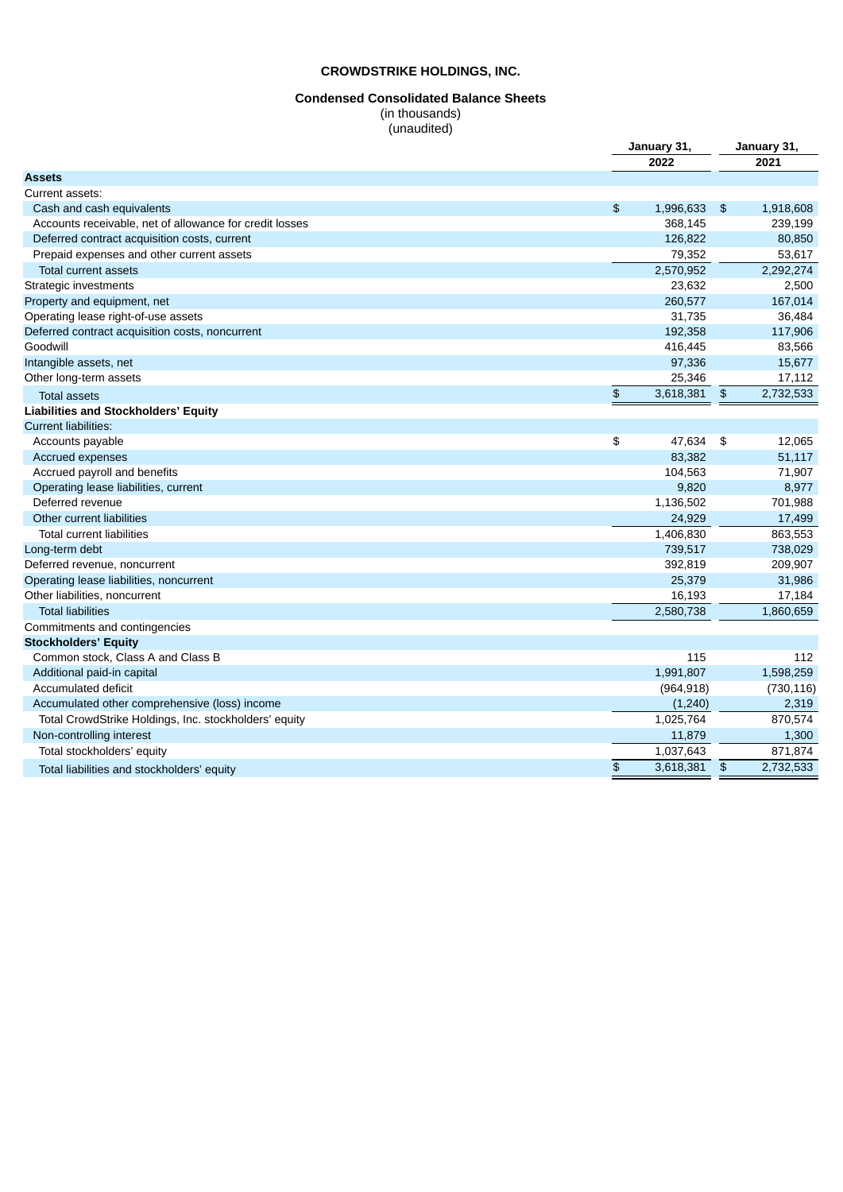# **Condensed Consolidated Balance Sheets**

(in thousands) (unaudited)

| 2022<br>2021<br><b>Assets</b><br>Current assets:<br>$\mathfrak{P}$<br>1,996,633<br>Cash and cash equivalents<br>\$<br>1,918,608<br>Accounts receivable, net of allowance for credit losses<br>368,145<br>239,199<br>126,822<br>80,850<br>Deferred contract acquisition costs, current<br>Prepaid expenses and other current assets<br>79,352<br>53,617<br>2,570,952<br>2,292,274<br>Total current assets<br>Strategic investments<br>23,632<br>2,500<br>260,577<br>167,014<br>31,735<br>36,484<br>Operating lease right-of-use assets<br>192,358<br>117,906<br>Deferred contract acquisition costs, noncurrent<br>Goodwill<br>416,445<br>83,566<br>97,336<br>15,677<br>25,346<br>17,112<br>Other long-term assets<br>$\frac{1}{2}$<br>3,618,381<br>$\frac{4}{5}$<br>2,732,533<br><b>Total assets</b><br>Liabilities and Stockholders' Equity<br><b>Current liabilities:</b><br>\$<br>47,634<br>12,065<br>Accounts payable<br>-\$<br>Accrued expenses<br>83,382<br>51,117<br>Accrued payroll and benefits<br>104,563<br>71,907<br>9,820<br>8,977<br>Operating lease liabilities, current<br>701,988<br>Deferred revenue<br>1,136,502<br>Other current liabilities<br>24,929<br>17,499<br><b>Total current liabilities</b><br>1,406,830<br>863,553<br>739,517<br>738,029<br>Long-term debt<br>209,907<br>392,819<br>25,379<br>31,986<br>Other liabilities, noncurrent<br>16,193<br>17,184<br><b>Total liabilities</b><br>2,580,738<br>1,860,659<br>Commitments and contingencies<br>Common stock, Class A and Class B<br>115<br>112<br>1,991,807<br>Additional paid-in capital<br>1,598,259<br><b>Accumulated deficit</b><br>(964, 918)<br>(730, 116)<br>(1, 240)<br>2,319<br>Accumulated other comprehensive (loss) income<br>870,574<br>1,025,764<br>Total CrowdStrike Holdings, Inc. stockholders' equity<br>Non-controlling interest<br>11,879<br>1,300<br>871,874<br>1,037,643<br>Total stockholders' equity<br>\$<br>3,618,381<br>$\mathfrak{D}$<br>2.732.533<br>Total liabilities and stockholders' equity |                                         | January 31, |  |  |
|-----------------------------------------------------------------------------------------------------------------------------------------------------------------------------------------------------------------------------------------------------------------------------------------------------------------------------------------------------------------------------------------------------------------------------------------------------------------------------------------------------------------------------------------------------------------------------------------------------------------------------------------------------------------------------------------------------------------------------------------------------------------------------------------------------------------------------------------------------------------------------------------------------------------------------------------------------------------------------------------------------------------------------------------------------------------------------------------------------------------------------------------------------------------------------------------------------------------------------------------------------------------------------------------------------------------------------------------------------------------------------------------------------------------------------------------------------------------------------------------------------------------------------------------------------------------------------------------------------------------------------------------------------------------------------------------------------------------------------------------------------------------------------------------------------------------------------------------------------------------------------------------------------------------------------------------------------------------------------------------------------------------|-----------------------------------------|-------------|--|--|
|                                                                                                                                                                                                                                                                                                                                                                                                                                                                                                                                                                                                                                                                                                                                                                                                                                                                                                                                                                                                                                                                                                                                                                                                                                                                                                                                                                                                                                                                                                                                                                                                                                                                                                                                                                                                                                                                                                                                                                                                                 |                                         |             |  |  |
|                                                                                                                                                                                                                                                                                                                                                                                                                                                                                                                                                                                                                                                                                                                                                                                                                                                                                                                                                                                                                                                                                                                                                                                                                                                                                                                                                                                                                                                                                                                                                                                                                                                                                                                                                                                                                                                                                                                                                                                                                 |                                         |             |  |  |
|                                                                                                                                                                                                                                                                                                                                                                                                                                                                                                                                                                                                                                                                                                                                                                                                                                                                                                                                                                                                                                                                                                                                                                                                                                                                                                                                                                                                                                                                                                                                                                                                                                                                                                                                                                                                                                                                                                                                                                                                                 |                                         |             |  |  |
|                                                                                                                                                                                                                                                                                                                                                                                                                                                                                                                                                                                                                                                                                                                                                                                                                                                                                                                                                                                                                                                                                                                                                                                                                                                                                                                                                                                                                                                                                                                                                                                                                                                                                                                                                                                                                                                                                                                                                                                                                 |                                         |             |  |  |
|                                                                                                                                                                                                                                                                                                                                                                                                                                                                                                                                                                                                                                                                                                                                                                                                                                                                                                                                                                                                                                                                                                                                                                                                                                                                                                                                                                                                                                                                                                                                                                                                                                                                                                                                                                                                                                                                                                                                                                                                                 |                                         |             |  |  |
|                                                                                                                                                                                                                                                                                                                                                                                                                                                                                                                                                                                                                                                                                                                                                                                                                                                                                                                                                                                                                                                                                                                                                                                                                                                                                                                                                                                                                                                                                                                                                                                                                                                                                                                                                                                                                                                                                                                                                                                                                 |                                         |             |  |  |
|                                                                                                                                                                                                                                                                                                                                                                                                                                                                                                                                                                                                                                                                                                                                                                                                                                                                                                                                                                                                                                                                                                                                                                                                                                                                                                                                                                                                                                                                                                                                                                                                                                                                                                                                                                                                                                                                                                                                                                                                                 |                                         |             |  |  |
|                                                                                                                                                                                                                                                                                                                                                                                                                                                                                                                                                                                                                                                                                                                                                                                                                                                                                                                                                                                                                                                                                                                                                                                                                                                                                                                                                                                                                                                                                                                                                                                                                                                                                                                                                                                                                                                                                                                                                                                                                 |                                         |             |  |  |
|                                                                                                                                                                                                                                                                                                                                                                                                                                                                                                                                                                                                                                                                                                                                                                                                                                                                                                                                                                                                                                                                                                                                                                                                                                                                                                                                                                                                                                                                                                                                                                                                                                                                                                                                                                                                                                                                                                                                                                                                                 |                                         |             |  |  |
|                                                                                                                                                                                                                                                                                                                                                                                                                                                                                                                                                                                                                                                                                                                                                                                                                                                                                                                                                                                                                                                                                                                                                                                                                                                                                                                                                                                                                                                                                                                                                                                                                                                                                                                                                                                                                                                                                                                                                                                                                 | Property and equipment, net             |             |  |  |
|                                                                                                                                                                                                                                                                                                                                                                                                                                                                                                                                                                                                                                                                                                                                                                                                                                                                                                                                                                                                                                                                                                                                                                                                                                                                                                                                                                                                                                                                                                                                                                                                                                                                                                                                                                                                                                                                                                                                                                                                                 |                                         |             |  |  |
|                                                                                                                                                                                                                                                                                                                                                                                                                                                                                                                                                                                                                                                                                                                                                                                                                                                                                                                                                                                                                                                                                                                                                                                                                                                                                                                                                                                                                                                                                                                                                                                                                                                                                                                                                                                                                                                                                                                                                                                                                 |                                         |             |  |  |
|                                                                                                                                                                                                                                                                                                                                                                                                                                                                                                                                                                                                                                                                                                                                                                                                                                                                                                                                                                                                                                                                                                                                                                                                                                                                                                                                                                                                                                                                                                                                                                                                                                                                                                                                                                                                                                                                                                                                                                                                                 |                                         |             |  |  |
|                                                                                                                                                                                                                                                                                                                                                                                                                                                                                                                                                                                                                                                                                                                                                                                                                                                                                                                                                                                                                                                                                                                                                                                                                                                                                                                                                                                                                                                                                                                                                                                                                                                                                                                                                                                                                                                                                                                                                                                                                 | Intangible assets, net                  |             |  |  |
|                                                                                                                                                                                                                                                                                                                                                                                                                                                                                                                                                                                                                                                                                                                                                                                                                                                                                                                                                                                                                                                                                                                                                                                                                                                                                                                                                                                                                                                                                                                                                                                                                                                                                                                                                                                                                                                                                                                                                                                                                 |                                         |             |  |  |
|                                                                                                                                                                                                                                                                                                                                                                                                                                                                                                                                                                                                                                                                                                                                                                                                                                                                                                                                                                                                                                                                                                                                                                                                                                                                                                                                                                                                                                                                                                                                                                                                                                                                                                                                                                                                                                                                                                                                                                                                                 |                                         |             |  |  |
|                                                                                                                                                                                                                                                                                                                                                                                                                                                                                                                                                                                                                                                                                                                                                                                                                                                                                                                                                                                                                                                                                                                                                                                                                                                                                                                                                                                                                                                                                                                                                                                                                                                                                                                                                                                                                                                                                                                                                                                                                 |                                         |             |  |  |
|                                                                                                                                                                                                                                                                                                                                                                                                                                                                                                                                                                                                                                                                                                                                                                                                                                                                                                                                                                                                                                                                                                                                                                                                                                                                                                                                                                                                                                                                                                                                                                                                                                                                                                                                                                                                                                                                                                                                                                                                                 |                                         |             |  |  |
|                                                                                                                                                                                                                                                                                                                                                                                                                                                                                                                                                                                                                                                                                                                                                                                                                                                                                                                                                                                                                                                                                                                                                                                                                                                                                                                                                                                                                                                                                                                                                                                                                                                                                                                                                                                                                                                                                                                                                                                                                 |                                         |             |  |  |
|                                                                                                                                                                                                                                                                                                                                                                                                                                                                                                                                                                                                                                                                                                                                                                                                                                                                                                                                                                                                                                                                                                                                                                                                                                                                                                                                                                                                                                                                                                                                                                                                                                                                                                                                                                                                                                                                                                                                                                                                                 |                                         |             |  |  |
|                                                                                                                                                                                                                                                                                                                                                                                                                                                                                                                                                                                                                                                                                                                                                                                                                                                                                                                                                                                                                                                                                                                                                                                                                                                                                                                                                                                                                                                                                                                                                                                                                                                                                                                                                                                                                                                                                                                                                                                                                 |                                         |             |  |  |
|                                                                                                                                                                                                                                                                                                                                                                                                                                                                                                                                                                                                                                                                                                                                                                                                                                                                                                                                                                                                                                                                                                                                                                                                                                                                                                                                                                                                                                                                                                                                                                                                                                                                                                                                                                                                                                                                                                                                                                                                                 |                                         |             |  |  |
|                                                                                                                                                                                                                                                                                                                                                                                                                                                                                                                                                                                                                                                                                                                                                                                                                                                                                                                                                                                                                                                                                                                                                                                                                                                                                                                                                                                                                                                                                                                                                                                                                                                                                                                                                                                                                                                                                                                                                                                                                 |                                         |             |  |  |
|                                                                                                                                                                                                                                                                                                                                                                                                                                                                                                                                                                                                                                                                                                                                                                                                                                                                                                                                                                                                                                                                                                                                                                                                                                                                                                                                                                                                                                                                                                                                                                                                                                                                                                                                                                                                                                                                                                                                                                                                                 |                                         |             |  |  |
|                                                                                                                                                                                                                                                                                                                                                                                                                                                                                                                                                                                                                                                                                                                                                                                                                                                                                                                                                                                                                                                                                                                                                                                                                                                                                                                                                                                                                                                                                                                                                                                                                                                                                                                                                                                                                                                                                                                                                                                                                 |                                         |             |  |  |
|                                                                                                                                                                                                                                                                                                                                                                                                                                                                                                                                                                                                                                                                                                                                                                                                                                                                                                                                                                                                                                                                                                                                                                                                                                                                                                                                                                                                                                                                                                                                                                                                                                                                                                                                                                                                                                                                                                                                                                                                                 |                                         |             |  |  |
|                                                                                                                                                                                                                                                                                                                                                                                                                                                                                                                                                                                                                                                                                                                                                                                                                                                                                                                                                                                                                                                                                                                                                                                                                                                                                                                                                                                                                                                                                                                                                                                                                                                                                                                                                                                                                                                                                                                                                                                                                 | Deferred revenue, noncurrent            |             |  |  |
|                                                                                                                                                                                                                                                                                                                                                                                                                                                                                                                                                                                                                                                                                                                                                                                                                                                                                                                                                                                                                                                                                                                                                                                                                                                                                                                                                                                                                                                                                                                                                                                                                                                                                                                                                                                                                                                                                                                                                                                                                 | Operating lease liabilities, noncurrent |             |  |  |
|                                                                                                                                                                                                                                                                                                                                                                                                                                                                                                                                                                                                                                                                                                                                                                                                                                                                                                                                                                                                                                                                                                                                                                                                                                                                                                                                                                                                                                                                                                                                                                                                                                                                                                                                                                                                                                                                                                                                                                                                                 |                                         |             |  |  |
|                                                                                                                                                                                                                                                                                                                                                                                                                                                                                                                                                                                                                                                                                                                                                                                                                                                                                                                                                                                                                                                                                                                                                                                                                                                                                                                                                                                                                                                                                                                                                                                                                                                                                                                                                                                                                                                                                                                                                                                                                 |                                         |             |  |  |
|                                                                                                                                                                                                                                                                                                                                                                                                                                                                                                                                                                                                                                                                                                                                                                                                                                                                                                                                                                                                                                                                                                                                                                                                                                                                                                                                                                                                                                                                                                                                                                                                                                                                                                                                                                                                                                                                                                                                                                                                                 |                                         |             |  |  |
|                                                                                                                                                                                                                                                                                                                                                                                                                                                                                                                                                                                                                                                                                                                                                                                                                                                                                                                                                                                                                                                                                                                                                                                                                                                                                                                                                                                                                                                                                                                                                                                                                                                                                                                                                                                                                                                                                                                                                                                                                 | <b>Stockholders' Equity</b>             |             |  |  |
|                                                                                                                                                                                                                                                                                                                                                                                                                                                                                                                                                                                                                                                                                                                                                                                                                                                                                                                                                                                                                                                                                                                                                                                                                                                                                                                                                                                                                                                                                                                                                                                                                                                                                                                                                                                                                                                                                                                                                                                                                 |                                         |             |  |  |
|                                                                                                                                                                                                                                                                                                                                                                                                                                                                                                                                                                                                                                                                                                                                                                                                                                                                                                                                                                                                                                                                                                                                                                                                                                                                                                                                                                                                                                                                                                                                                                                                                                                                                                                                                                                                                                                                                                                                                                                                                 |                                         |             |  |  |
|                                                                                                                                                                                                                                                                                                                                                                                                                                                                                                                                                                                                                                                                                                                                                                                                                                                                                                                                                                                                                                                                                                                                                                                                                                                                                                                                                                                                                                                                                                                                                                                                                                                                                                                                                                                                                                                                                                                                                                                                                 |                                         |             |  |  |
|                                                                                                                                                                                                                                                                                                                                                                                                                                                                                                                                                                                                                                                                                                                                                                                                                                                                                                                                                                                                                                                                                                                                                                                                                                                                                                                                                                                                                                                                                                                                                                                                                                                                                                                                                                                                                                                                                                                                                                                                                 |                                         |             |  |  |
|                                                                                                                                                                                                                                                                                                                                                                                                                                                                                                                                                                                                                                                                                                                                                                                                                                                                                                                                                                                                                                                                                                                                                                                                                                                                                                                                                                                                                                                                                                                                                                                                                                                                                                                                                                                                                                                                                                                                                                                                                 |                                         |             |  |  |
|                                                                                                                                                                                                                                                                                                                                                                                                                                                                                                                                                                                                                                                                                                                                                                                                                                                                                                                                                                                                                                                                                                                                                                                                                                                                                                                                                                                                                                                                                                                                                                                                                                                                                                                                                                                                                                                                                                                                                                                                                 |                                         |             |  |  |
|                                                                                                                                                                                                                                                                                                                                                                                                                                                                                                                                                                                                                                                                                                                                                                                                                                                                                                                                                                                                                                                                                                                                                                                                                                                                                                                                                                                                                                                                                                                                                                                                                                                                                                                                                                                                                                                                                                                                                                                                                 |                                         |             |  |  |
|                                                                                                                                                                                                                                                                                                                                                                                                                                                                                                                                                                                                                                                                                                                                                                                                                                                                                                                                                                                                                                                                                                                                                                                                                                                                                                                                                                                                                                                                                                                                                                                                                                                                                                                                                                                                                                                                                                                                                                                                                 |                                         |             |  |  |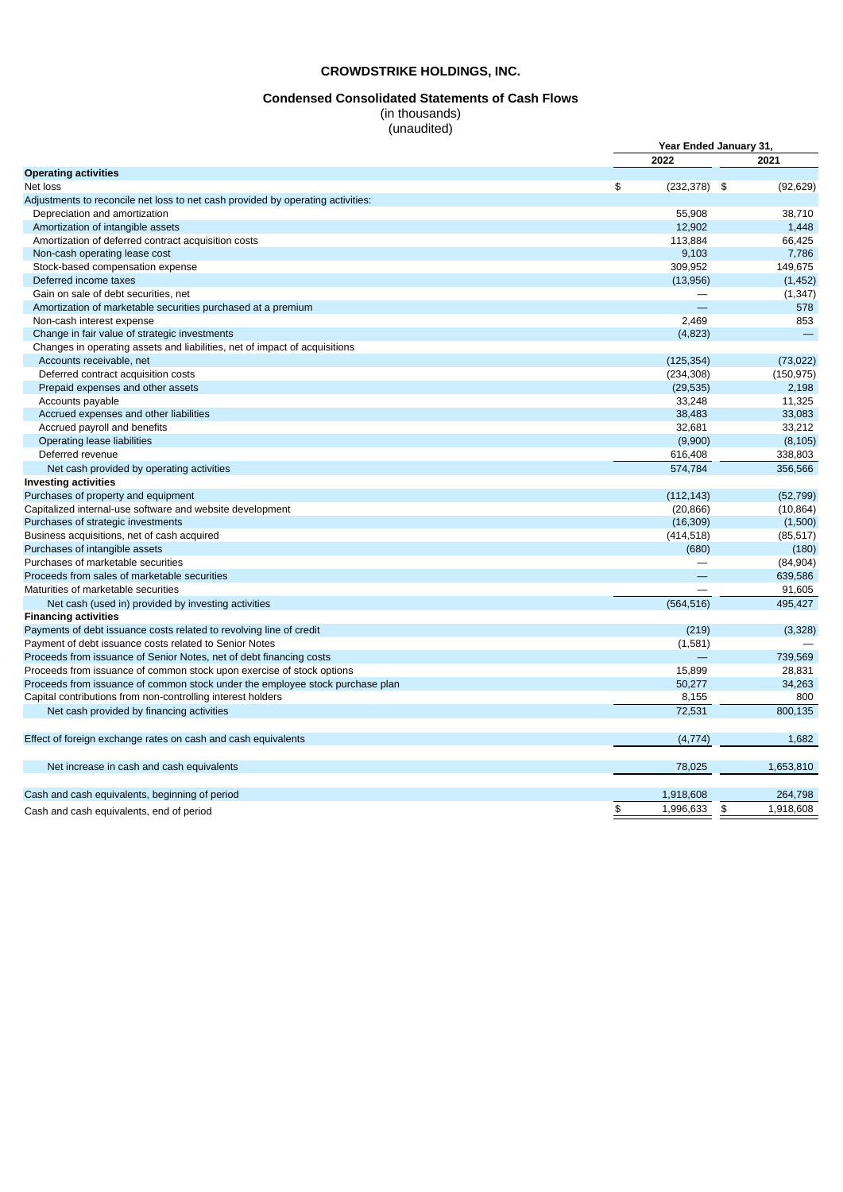#### **Condensed Consolidated Statements of Cash Flows**

(in thousands) (unaudited)

|                                                                                 |                       | Year Ended January 31,      |
|---------------------------------------------------------------------------------|-----------------------|-----------------------------|
|                                                                                 | 2022                  | 2021                        |
| <b>Operating activities</b>                                                     |                       |                             |
| Net loss                                                                        | \$<br>$(232, 378)$ \$ | (92, 629)                   |
| Adjustments to reconcile net loss to net cash provided by operating activities: |                       |                             |
| Depreciation and amortization                                                   | 55.908                | 38.710                      |
| Amortization of intangible assets                                               | 12,902                | 1,448                       |
| Amortization of deferred contract acquisition costs                             | 113,884               | 66,425                      |
| Non-cash operating lease cost                                                   | 9,103                 | 7,786                       |
| Stock-based compensation expense                                                | 309,952               | 149,675                     |
| Deferred income taxes                                                           | (13,956)              | (1, 452)                    |
| Gain on sale of debt securities, net                                            |                       | (1, 347)                    |
| Amortization of marketable securities purchased at a premium                    |                       | 578                         |
| Non-cash interest expense                                                       | 2,469                 | 853                         |
| Change in fair value of strategic investments                                   | (4,823)               |                             |
| Changes in operating assets and liabilities, net of impact of acquisitions      |                       |                             |
| Accounts receivable, net                                                        | (125, 354)            | (73, 022)                   |
| Deferred contract acquisition costs                                             | (234, 308)            | (150, 975)                  |
| Prepaid expenses and other assets                                               | (29, 535)             | 2,198                       |
| Accounts payable                                                                | 33,248                | 11.325                      |
| Accrued expenses and other liabilities                                          | 38,483                | 33,083                      |
| Accrued payroll and benefits                                                    | 32,681                | 33,212                      |
| Operating lease liabilities                                                     | (9,900)               | (8, 105)                    |
| Deferred revenue                                                                | 616,408               | 338,803                     |
| Net cash provided by operating activities                                       | 574,784               | 356,566                     |
| <b>Investing activities</b>                                                     |                       |                             |
| Purchases of property and equipment                                             | (112, 143)            | (52, 799)                   |
| Capitalized internal-use software and website development                       | (20, 866)             | (10, 864)                   |
| Purchases of strategic investments                                              | (16, 309)             | (1,500)                     |
| Business acquisitions, net of cash acquired                                     | (414, 518)            | (85, 517)                   |
| Purchases of intangible assets                                                  | (680)                 | (180)                       |
| Purchases of marketable securities                                              |                       | (84,904)                    |
| Proceeds from sales of marketable securities                                    |                       | 639,586                     |
| Maturities of marketable securities                                             |                       | 91,605                      |
| Net cash (used in) provided by investing activities                             | (564, 516)            | 495,427                     |
| <b>Financing activities</b>                                                     |                       |                             |
| Payments of debt issuance costs related to revolving line of credit             | (219)                 | (3,328)                     |
| Payment of debt issuance costs related to Senior Notes                          | (1,581)               |                             |
| Proceeds from issuance of Senior Notes, net of debt financing costs             |                       | 739,569                     |
| Proceeds from issuance of common stock upon exercise of stock options           | 15.899                | 28,831                      |
| Proceeds from issuance of common stock under the employee stock purchase plan   | 50,277                | 34,263                      |
| Capital contributions from non-controlling interest holders                     | 8,155                 | 800                         |
| Net cash provided by financing activities                                       | 72,531                | 800,135                     |
|                                                                                 |                       |                             |
| Effect of foreign exchange rates on cash and cash equivalents                   | (4, 774)              | 1,682                       |
| Net increase in cash and cash equivalents                                       | 78,025                | 1,653,810                   |
| Cash and cash equivalents, beginning of period                                  | 1,918,608             | 264,798                     |
| Cash and cash equivalents, end of period                                        | \$<br>1,996,633       | $\mathfrak{P}$<br>1,918,608 |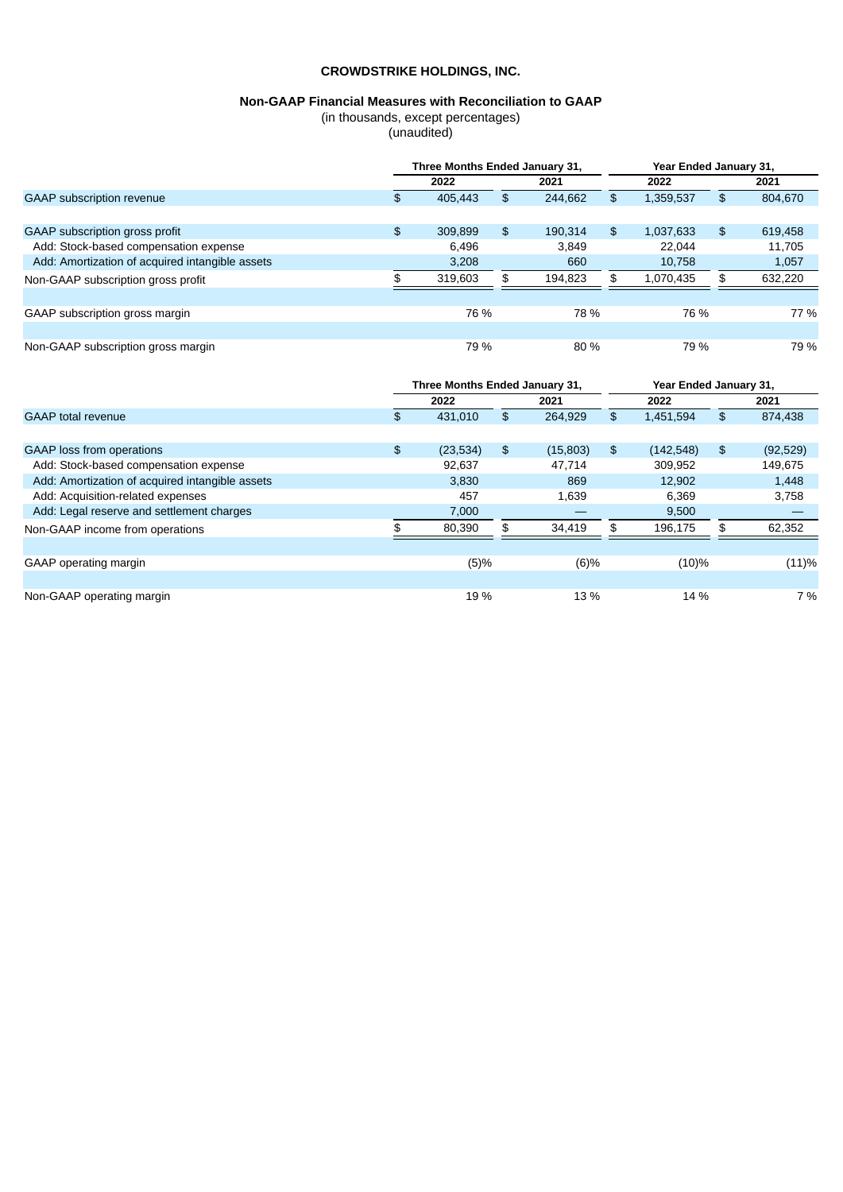# **Non-GAAP Financial Measures with Reconciliation to GAAP**

(in thousands, except percentages)

(unaudited)

|                                                 | Three Months Ended January 31, |         |    |         |    |           | Year Ended January 31, |         |  |
|-------------------------------------------------|--------------------------------|---------|----|---------|----|-----------|------------------------|---------|--|
|                                                 |                                | 2022    |    | 2021    |    | 2022      |                        | 2021    |  |
| <b>GAAP</b> subscription revenue                | \$.                            | 405,443 | \$ | 244.662 | \$ | 1,359,537 | \$                     | 804,670 |  |
|                                                 |                                |         |    |         |    |           |                        |         |  |
| GAAP subscription gross profit                  | \$                             | 309,899 | \$ | 190.314 | \$ | 1,037,633 | \$                     | 619,458 |  |
| Add: Stock-based compensation expense           |                                | 6.496   |    | 3.849   |    | 22.044    |                        | 11.705  |  |
| Add: Amortization of acquired intangible assets |                                | 3.208   |    | 660     |    | 10.758    |                        | 1,057   |  |
| Non-GAAP subscription gross profit              |                                | 319.603 | \$ | 194.823 |    | 1.070.435 | \$                     | 632,220 |  |
|                                                 |                                |         |    |         |    |           |                        |         |  |
| GAAP subscription gross margin                  |                                | 76 %    |    | 78 %    |    | 76 %      |                        | 77 %    |  |
|                                                 |                                |         |    |         |    |           |                        |         |  |
| Non-GAAP subscription gross margin              |                                | 79 %    |    | 80 %    |    | 79 %      |                        | 79 %    |  |

|                                                 | Three Months Ended January 31, |          |    |          |    | Year Ended January 31, |    |           |  |
|-------------------------------------------------|--------------------------------|----------|----|----------|----|------------------------|----|-----------|--|
|                                                 |                                | 2022     |    | 2021     |    | 2022                   |    | 2021      |  |
| <b>GAAP</b> total revenue                       | \$.                            | 431,010  | \$ | 264,929  | \$ | 1,451,594              | \$ | 874,438   |  |
|                                                 |                                |          |    |          |    |                        |    |           |  |
| <b>GAAP</b> loss from operations                | \$                             | (23,534) | \$ | (15,803) | \$ | (142, 548)             | \$ | (92, 529) |  |
| Add: Stock-based compensation expense           |                                | 92,637   |    | 47,714   |    | 309,952                |    | 149,675   |  |
| Add: Amortization of acquired intangible assets |                                | 3,830    |    | 869      |    | 12,902                 |    | 1,448     |  |
| Add: Acquisition-related expenses               |                                | 457      |    | 1.639    |    | 6.369                  |    | 3,758     |  |
| Add: Legal reserve and settlement charges       |                                | 7,000    |    |          |    | 9,500                  |    |           |  |
| Non-GAAP income from operations                 |                                | 80,390   |    | 34,419   |    | 196.175                | \$ | 62,352    |  |
|                                                 |                                |          |    |          |    |                        |    |           |  |
| GAAP operating margin                           |                                | (5)%     |    | (6)%     |    | $(10)\%$               |    | (11)%     |  |
|                                                 |                                |          |    |          |    |                        |    |           |  |
| Non-GAAP operating margin                       |                                | 19 %     |    | 13 %     |    | $14\%$                 |    | 7 %       |  |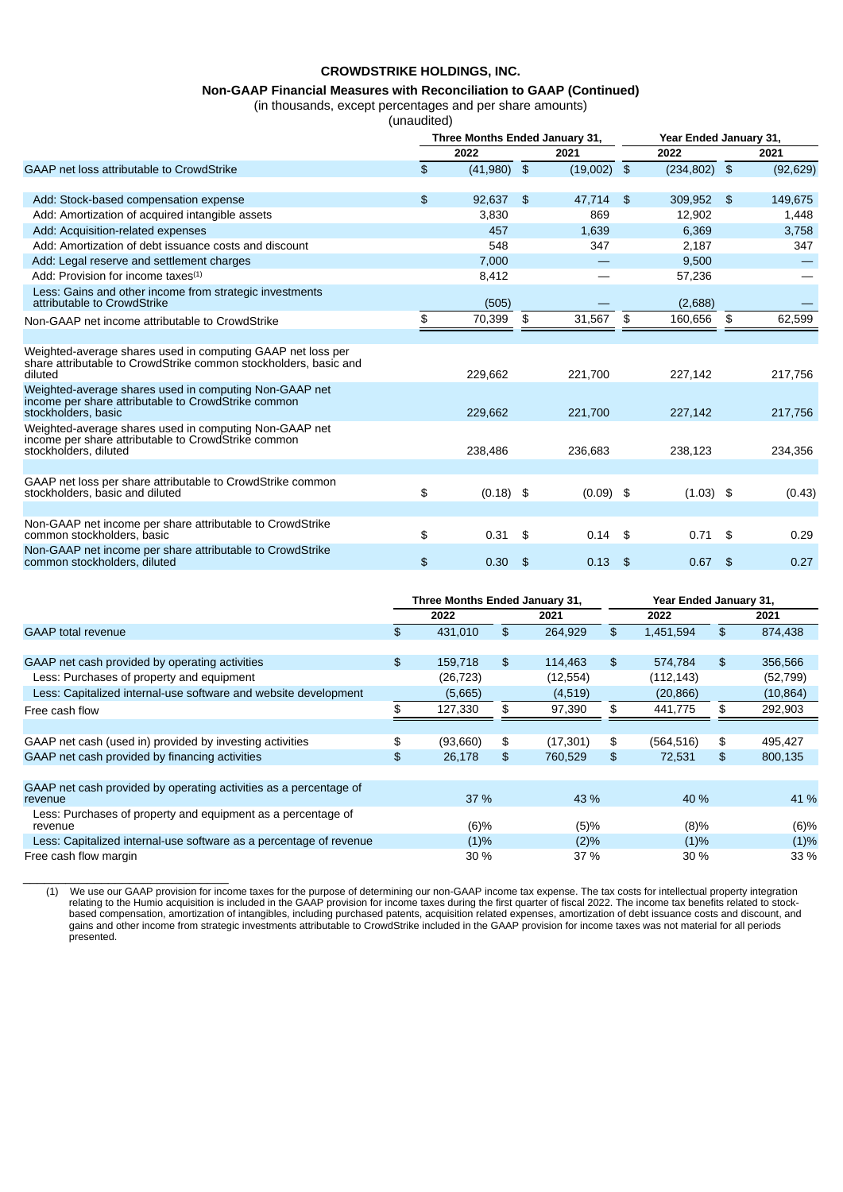# **Non-GAAP Financial Measures with Reconciliation to GAAP (Continued)**

(in thousands, except percentages and per share amounts)

(unaudited)

|                                                                                                                                            | Three Months Ended January 31, |      |               |                | Year Ended January 31, |                |           |  |
|--------------------------------------------------------------------------------------------------------------------------------------------|--------------------------------|------|---------------|----------------|------------------------|----------------|-----------|--|
|                                                                                                                                            | 2022                           |      | 2021          |                | 2022                   |                | 2021      |  |
| GAAP net loss attributable to CrowdStrike                                                                                                  | \$<br>$(41,980)$ \$            |      | $(19,002)$ \$ |                | $(234, 802)$ \$        |                | (92, 629) |  |
| Add: Stock-based compensation expense                                                                                                      | \$<br>92,637                   | \$   | 47,714        | $\mathfrak{S}$ | 309,952                | $\mathfrak{L}$ | 149,675   |  |
| Add: Amortization of acquired intangible assets                                                                                            | 3,830                          |      | 869           |                | 12,902                 |                | 1,448     |  |
| Add: Acquisition-related expenses                                                                                                          | 457                            |      | 1,639         |                | 6,369                  |                | 3,758     |  |
| Add: Amortization of debt issuance costs and discount                                                                                      | 548                            |      | 347           |                | 2,187                  |                | 347       |  |
| Add: Legal reserve and settlement charges                                                                                                  | 7,000                          |      | —             |                | 9,500                  |                |           |  |
| Add: Provision for income taxes $(1)$                                                                                                      | 8,412                          |      |               |                | 57,236                 |                |           |  |
| Less: Gains and other income from strategic investments<br>attributable to CrowdStrike                                                     | (505)                          |      |               |                | (2,688)                |                |           |  |
| Non-GAAP net income attributable to CrowdStrike                                                                                            | \$<br>70,399                   | \$   | 31,567        | \$             | 160,656                | \$             | 62,599    |  |
|                                                                                                                                            |                                |      |               |                |                        |                |           |  |
| Weighted-average shares used in computing GAAP net loss per<br>share attributable to CrowdStrike common stockholders, basic and<br>diluted | 229,662                        |      | 221,700       |                | 227,142                |                | 217,756   |  |
| Weighted-average shares used in computing Non-GAAP net<br>income per share attributable to CrowdStrike common<br>stockholders, basic       | 229,662                        |      | 221,700       |                | 227,142                |                | 217,756   |  |
| Weighted-average shares used in computing Non-GAAP net<br>income per share attributable to CrowdStrike common<br>stockholders, diluted     | 238.486                        |      | 236.683       |                | 238.123                |                | 234,356   |  |
|                                                                                                                                            |                                |      |               |                |                        |                |           |  |
| GAAP net loss per share attributable to CrowdStrike common<br>stockholders, basic and diluted                                              | \$<br>$(0.18)$ \$              |      | $(0.09)$ \$   |                | $(1.03)$ \$            |                | (0.43)    |  |
|                                                                                                                                            |                                |      |               |                |                        |                |           |  |
| Non-GAAP net income per share attributable to CrowdStrike<br>common stockholders, basic                                                    | \$<br>0.31                     | - \$ | $0.14$ \$     |                | $0.71$ \$              |                | 0.29      |  |
| Non-GAAP net income per share attributable to CrowdStrike<br>common stockholders, diluted                                                  | \$<br>0.30                     | - \$ | 0.13          | \$             | $0.67$ \$              |                | 0.27      |  |

|                                                                              | Three Months Ended January 31, |           |    |           |    | Year Ended January 31, |    |           |  |  |
|------------------------------------------------------------------------------|--------------------------------|-----------|----|-----------|----|------------------------|----|-----------|--|--|
|                                                                              |                                | 2022      |    | 2021      |    | 2022                   |    | 2021      |  |  |
| <b>GAAP</b> total revenue                                                    | \$                             | 431,010   | \$ | 264,929   | \$ | 1,451,594              | \$ | 874,438   |  |  |
|                                                                              |                                |           |    |           |    |                        |    |           |  |  |
| GAAP net cash provided by operating activities                               | \$                             | 159,718   | \$ | 114,463   | \$ | 574.784                | \$ | 356,566   |  |  |
| Less: Purchases of property and equipment                                    |                                | (26, 723) |    | (12, 554) |    | (112, 143)             |    | (52, 799) |  |  |
| Less: Capitalized internal-use software and website development              |                                | (5,665)   |    | (4,519)   |    | (20, 866)              |    | (10, 864) |  |  |
| Free cash flow                                                               |                                | 127,330   | \$ | 97,390    | \$ | 441,775                | \$ | 292,903   |  |  |
|                                                                              |                                |           |    |           |    |                        |    |           |  |  |
| GAAP net cash (used in) provided by investing activities                     | \$                             | (93,660)  | \$ | (17, 301) | \$ | (564, 516)             | \$ | 495,427   |  |  |
| GAAP net cash provided by financing activities                               | \$                             | 26,178    | \$ | 760,529   | \$ | 72,531                 | \$ | 800,135   |  |  |
|                                                                              |                                |           |    |           |    |                        |    |           |  |  |
| GAAP net cash provided by operating activities as a percentage of<br>revenue |                                | 37 %      |    | 43 %      |    | 40 %                   |    | 41 %      |  |  |
| Less: Purchases of property and equipment as a percentage of<br>revenue      |                                | (6)%      |    | (5)%      |    | $(8)\%$                |    | (6)%      |  |  |
| Less: Capitalized internal-use software as a percentage of revenue           |                                | (1)%      |    | (2)%      |    | $(1)\%$                |    | (1)%      |  |  |
| Free cash flow margin                                                        |                                | 30%       |    | 37 %      |    | 30 %                   |    | 33 %      |  |  |

(1) We use our GAAP provision for income taxes for the purpose of determining our non-GAAP income tax expense. The tax costs for intellectual property integration relating to the Humio acquisition is included in the GAAP provision for income taxes during the first quarter of fiscal 2022. The income tax benefits related to stockbased compensation, amortization of intangibles, including purchased patents, acquisition related expenses, amortization of debt issuance costs and discount, and gains and other income from strategic investments attributable to CrowdStrike included in the GAAP provision for income taxes was not material for all periods presented.

\_\_\_\_\_\_\_\_\_\_\_\_\_\_\_\_\_\_\_\_\_\_\_\_\_\_\_\_\_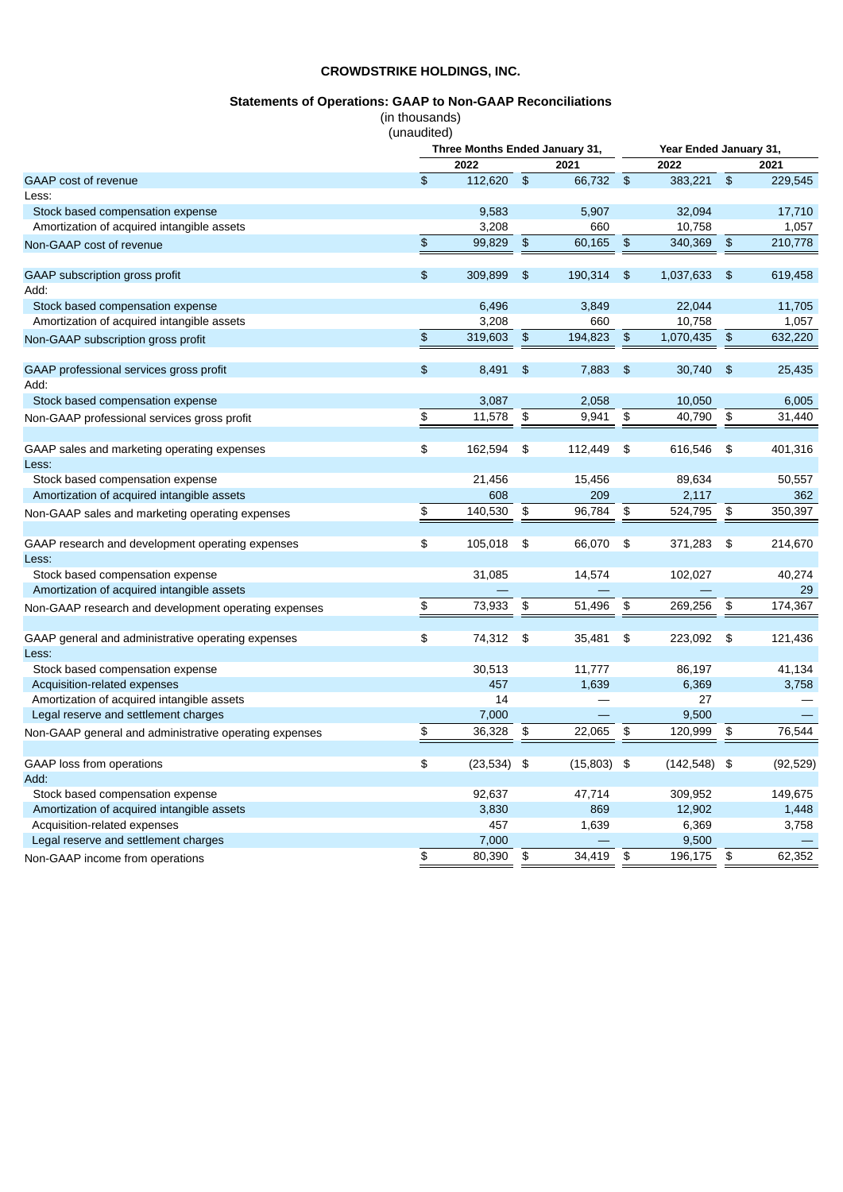# **Statements of Operations: GAAP to Non-GAAP Reconciliations**

(in thousands)

|                                                        | (unaudited)   |                                |                      |               |                                               |            |                |           |
|--------------------------------------------------------|---------------|--------------------------------|----------------------|---------------|-----------------------------------------------|------------|----------------|-----------|
|                                                        |               | Three Months Ended January 31, |                      |               | Year Ended January 31,                        |            |                |           |
|                                                        |               | 2022                           |                      | 2021          |                                               | 2022       |                | 2021      |
| GAAP cost of revenue                                   | \$            | 112,620                        | $\mathfrak{S}$       | 66,732 \$     |                                               | 383,221 \$ |                | 229,545   |
| Less:                                                  |               |                                |                      |               |                                               |            |                |           |
| Stock based compensation expense                       |               | 9,583                          |                      | 5,907         |                                               | 32,094     |                | 17,710    |
| Amortization of acquired intangible assets             |               | 3,208                          |                      | 660           |                                               | 10,758     |                | 1,057     |
| Non-GAAP cost of revenue                               | \$            | 99,829                         | $\frac{1}{2}$        | 60,165        | $\frac{1}{2}$                                 | 340,369    | \$             | 210,778   |
| GAAP subscription gross profit                         | \$            | 309,899                        | \$                   | 190,314       | $\frac{1}{2}$                                 | 1,037,633  | \$             | 619,458   |
| Add:                                                   |               |                                |                      |               |                                               |            |                |           |
| Stock based compensation expense                       |               | 6.496                          |                      | 3,849         |                                               | 22,044     |                | 11,705    |
| Amortization of acquired intangible assets             |               | 3,208                          |                      | 660           |                                               | 10,758     |                | 1,057     |
| Non-GAAP subscription gross profit                     | $\frac{1}{2}$ | 319,603                        | $\frac{1}{2}$        | 194,823       | $\frac{1}{2}$                                 | 1,070,435  | $\frac{1}{2}$  | 632,220   |
|                                                        |               |                                |                      |               |                                               |            |                |           |
| GAAP professional services gross profit                | \$            | 8,491                          | $\frac{4}{5}$        | 7,883         | $\frac{2}{3}$                                 | 30,740     | $\mathfrak{P}$ | 25,435    |
| Add:                                                   |               |                                |                      |               |                                               |            |                |           |
| Stock based compensation expense                       |               | 3,087                          |                      | 2,058         |                                               | 10,050     |                | 6,005     |
| Non-GAAP professional services gross profit            | \$            | 11,578                         | $\pmb{\mathfrak{s}}$ | 9,941         | $\, \, \raisebox{12pt}{$\scriptstyle \circ$}$ | 40,790     | \$             | 31,440    |
| GAAP sales and marketing operating expenses            | \$            | 162,594                        | \$                   | 112,449       | $\mathfrak{P}$                                | 616,546    | \$             | 401,316   |
| Less:                                                  |               |                                |                      |               |                                               |            |                |           |
| Stock based compensation expense                       |               | 21,456                         |                      | 15,456        |                                               | 89,634     |                | 50,557    |
| Amortization of acquired intangible assets             |               | 608                            |                      | 209           |                                               | 2,117      |                | 362       |
| Non-GAAP sales and marketing operating expenses        | \$            | 140,530                        | \$                   | 96,784        | \$                                            | 524,795    | \$             | 350,397   |
|                                                        | \$            |                                |                      |               |                                               |            |                |           |
| GAAP research and development operating expenses       |               | 105,018                        | \$                   | 66,070        | \$                                            | 371,283    | \$             | 214,670   |
| Less:                                                  |               |                                |                      |               |                                               |            |                |           |
| Stock based compensation expense                       |               | 31,085                         |                      | 14,574        |                                               | 102,027    |                | 40,274    |
| Amortization of acquired intangible assets             |               |                                |                      |               |                                               |            |                | 29        |
| Non-GAAP research and development operating expenses   | \$            | 73,933                         | \$                   | 51,496        | \$                                            | 269,256    | \$             | 174,367   |
| GAAP general and administrative operating expenses     | \$            | 74,312                         | \$                   | 35,481        | \$                                            | 223,092    | \$             | 121,436   |
| Less:                                                  |               |                                |                      |               |                                               |            |                |           |
| Stock based compensation expense                       |               | 30,513                         |                      | 11,777        |                                               | 86,197     |                | 41,134    |
| Acquisition-related expenses                           |               | 457                            |                      | 1,639         |                                               | 6,369      |                | 3,758     |
| Amortization of acquired intangible assets             |               | 14                             |                      |               |                                               | 27         |                |           |
| Legal reserve and settlement charges                   |               | 7,000                          |                      |               |                                               | 9,500      |                |           |
| Non-GAAP general and administrative operating expenses | \$            | 36,328                         | \$                   | 22,065        | \$                                            | 120,999    | \$             | 76,544    |
| <b>GAAP</b> loss from operations                       | \$            | (23, 534)                      | \$                   | $(15,803)$ \$ |                                               | (142, 548) | \$             | (92, 529) |
| Add:                                                   |               |                                |                      |               |                                               |            |                |           |
| Stock based compensation expense                       |               | 92,637                         |                      | 47,714        |                                               | 309,952    |                | 149,675   |
| Amortization of acquired intangible assets             |               | 3,830                          |                      | 869           |                                               | 12,902     |                | 1,448     |
| Acquisition-related expenses                           |               | 457                            |                      | 1,639         |                                               | 6,369      |                | 3,758     |
| Legal reserve and settlement charges                   |               | 7,000                          |                      |               |                                               | 9,500      |                |           |
| Non-GAAP income from operations                        | \$            | 80,390                         | \$                   | 34,419        | \$                                            | 196,175    | \$             | 62,352    |
|                                                        |               |                                |                      |               |                                               |            |                |           |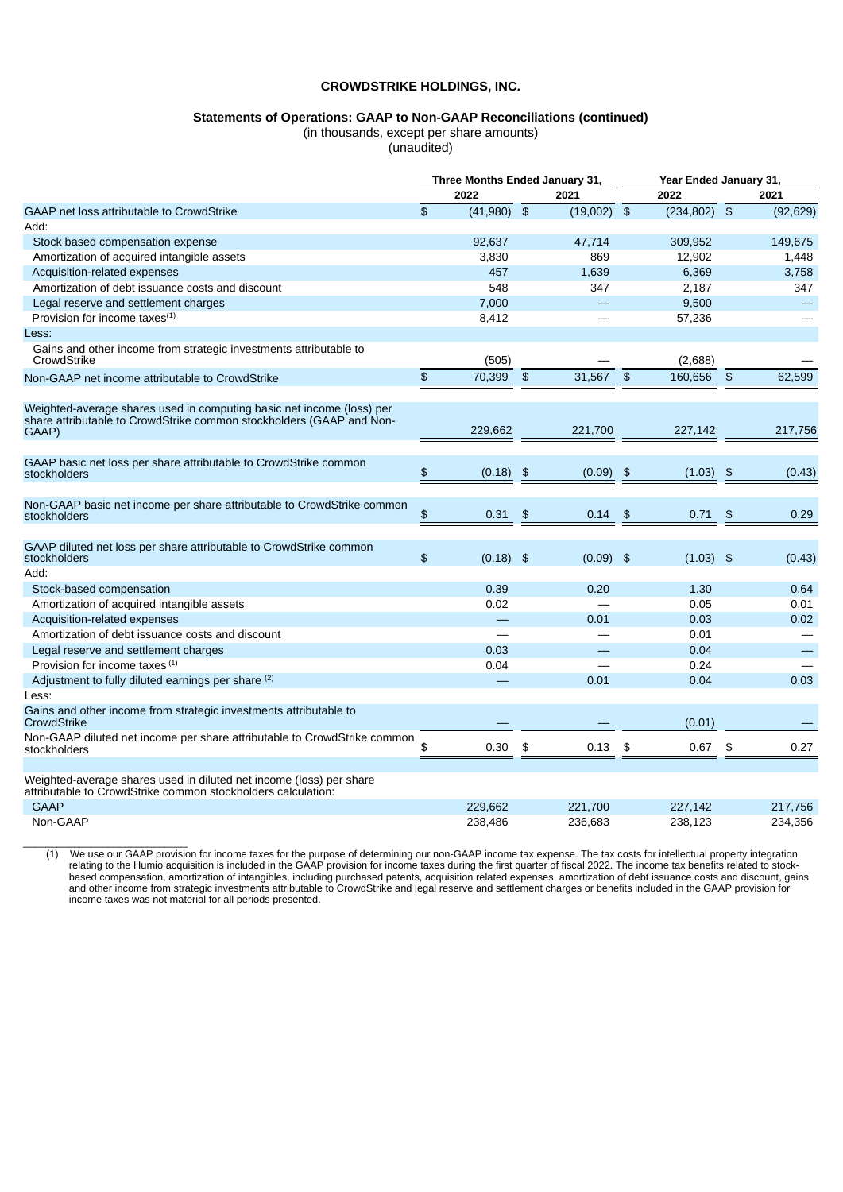# **Statements of Operations: GAAP to Non-GAAP Reconciliations (continued)**

(in thousands, except per share amounts)

(unaudited)

|                                                                                                                                                        | Three Months Ended January 31, |             |                |               | Year Ended January 31, |             |                |           |
|--------------------------------------------------------------------------------------------------------------------------------------------------------|--------------------------------|-------------|----------------|---------------|------------------------|-------------|----------------|-----------|
|                                                                                                                                                        |                                | 2022        |                | 2021          |                        | 2022        |                | 2021      |
| GAAP net loss attributable to CrowdStrike                                                                                                              | $\mathfrak{L}$                 | (41.980)    | $\mathfrak{S}$ | $(19,002)$ \$ |                        | (234.802)   | $\frac{1}{2}$  | (92, 629) |
| Add:                                                                                                                                                   |                                |             |                |               |                        |             |                |           |
| Stock based compensation expense                                                                                                                       |                                | 92.637      |                | 47,714        |                        | 309,952     |                | 149,675   |
| Amortization of acquired intangible assets                                                                                                             |                                | 3,830       |                | 869           |                        | 12,902      |                | 1,448     |
| Acquisition-related expenses                                                                                                                           |                                | 457         |                | 1,639         |                        | 6,369       |                | 3,758     |
| Amortization of debt issuance costs and discount                                                                                                       |                                | 548         |                | 347           |                        | 2,187       |                | 347       |
| Legal reserve and settlement charges                                                                                                                   |                                | 7,000       |                |               |                        | 9,500       |                |           |
| Provision for income taxes $(1)$                                                                                                                       |                                | 8,412       |                |               |                        | 57,236      |                |           |
| Less:                                                                                                                                                  |                                |             |                |               |                        |             |                |           |
| Gains and other income from strategic investments attributable to<br>CrowdStrike                                                                       |                                | (505)       |                |               |                        | (2,688)     |                |           |
| Non-GAAP net income attributable to CrowdStrike                                                                                                        | \$                             | 70,399      | $\frac{4}{5}$  | 31,567        | $\mathfrak{F}$         | 160,656     | $\frac{1}{2}$  | 62,599    |
|                                                                                                                                                        |                                |             |                |               |                        |             |                |           |
| Weighted-average shares used in computing basic net income (loss) per<br>share attributable to CrowdStrike common stockholders (GAAP and Non-<br>GAAP) |                                | 229,662     |                | 221,700       |                        | 227,142     |                | 217,756   |
| GAAP basic net loss per share attributable to CrowdStrike common                                                                                       |                                |             |                |               |                        |             |                |           |
| stockholders                                                                                                                                           | \$                             | (0.18)      | $\mathfrak{F}$ | (0.09)        | \$                     | (1.03)      | \$             | (0.43)    |
|                                                                                                                                                        |                                |             |                |               |                        |             |                |           |
| Non-GAAP basic net income per share attributable to CrowdStrike common<br>stockholders                                                                 | \$                             | 0.31        | $\frac{1}{2}$  | 0.14          | \$                     | 0.71        | $\mathfrak{F}$ | 0.29      |
|                                                                                                                                                        |                                |             |                |               |                        |             |                |           |
| GAAP diluted net loss per share attributable to CrowdStrike common<br>stockholders                                                                     | \$                             | $(0.18)$ \$ |                | $(0.09)$ \$   |                        | $(1.03)$ \$ |                | (0.43)    |
| Add:                                                                                                                                                   |                                |             |                |               |                        |             |                |           |
| Stock-based compensation                                                                                                                               |                                | 0.39        |                | 0.20          |                        | 1.30        |                | 0.64      |
| Amortization of acquired intangible assets                                                                                                             |                                | 0.02        |                |               |                        | 0.05        |                | 0.01      |
| Acquisition-related expenses                                                                                                                           |                                |             |                | 0.01          |                        | 0.03        |                | 0.02      |
| Amortization of debt issuance costs and discount                                                                                                       |                                |             |                |               |                        | 0.01        |                |           |
| Legal reserve and settlement charges                                                                                                                   |                                | 0.03        |                |               |                        | 0.04        |                |           |
| Provision for income taxes (1)                                                                                                                         |                                | 0.04        |                |               |                        | 0.24        |                |           |
| Adjustment to fully diluted earnings per share (2)                                                                                                     |                                |             |                | 0.01          |                        | 0.04        |                | 0.03      |
| Less:                                                                                                                                                  |                                |             |                |               |                        |             |                |           |
| Gains and other income from strategic investments attributable to<br>CrowdStrike                                                                       |                                |             |                |               |                        | (0.01)      |                |           |
| Non-GAAP diluted net income per share attributable to CrowdStrike common<br>stockholders                                                               | \$                             | 0.30        | \$             | 0.13          | \$                     | 0.67        | \$             | 0.27      |
|                                                                                                                                                        |                                |             |                |               |                        |             |                |           |
| Weighted-average shares used in diluted net income (loss) per share<br>attributable to CrowdStrike common stockholders calculation:                    |                                |             |                |               |                        |             |                |           |
| $C$ $\wedge$ $\wedge$ $\Box$                                                                                                                           |                                | 220.662     |                | 221.700       |                        | 227 142     |                | 217756    |

| <b>GAAP</b> | 229.662 | 221.700 | 227.142 | 217,756 |
|-------------|---------|---------|---------|---------|
| Non-GAAP    | 238.486 | 236.683 | 238.123 | 234,356 |

\_\_\_\_\_\_\_\_\_\_\_\_\_\_\_\_\_\_\_\_\_\_\_\_\_\_\_\_\_

(1) We use our GAAP provision for income taxes for the purpose of determining our non-GAAP income tax expense. The tax costs for intellectual property integration relating to the Humio acquisition is included in the GAAP provision for income taxes during the first quarter of fiscal 2022. The income tax benefits related to stockbased compensation, amortization of intangibles, including purchased patents, acquisition related expenses, amortization of debt issuance costs and discount, gains and other income from strategic investments attributable to CrowdStrike and legal reserve and settlement charges or benefits included in the GAAP provision for income taxes was not material for all periods presented.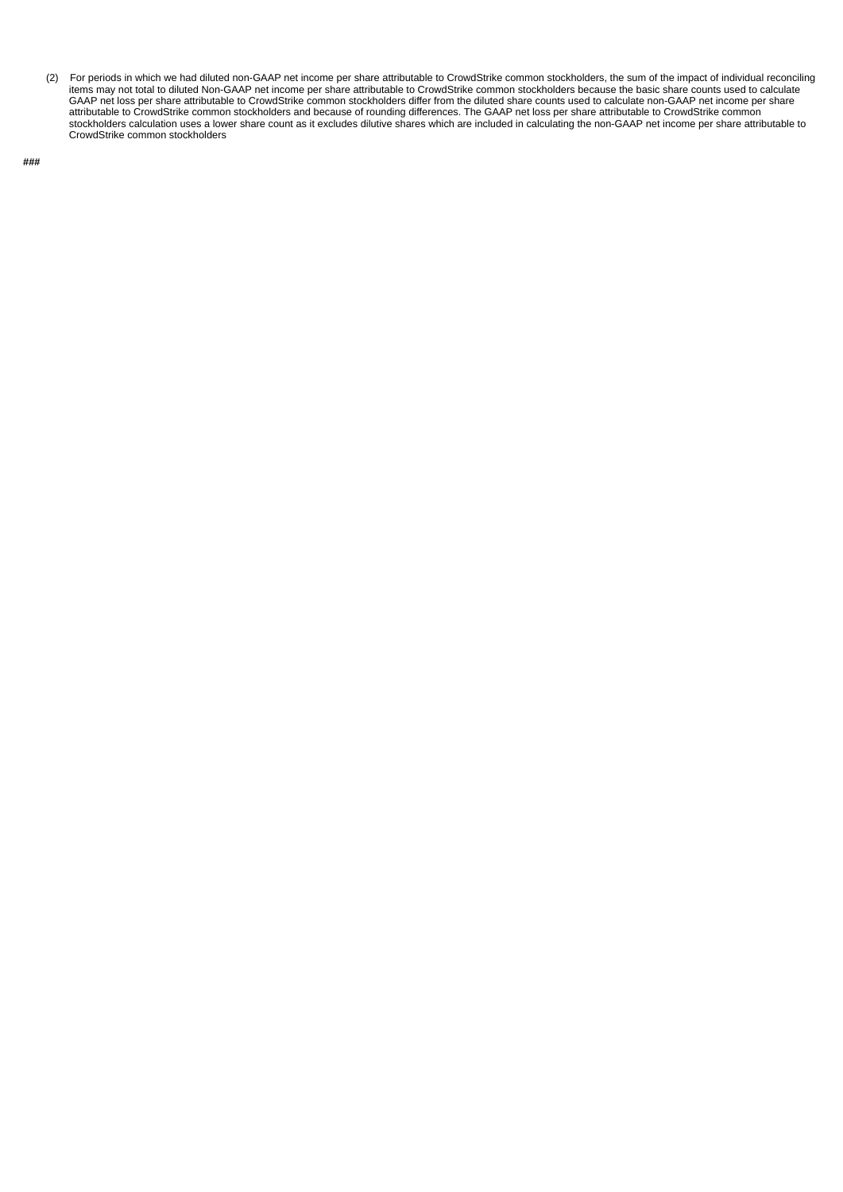(2) For periods in which we had diluted non-GAAP net income per share attributable to CrowdStrike common stockholders, the sum of the impact of individual reconciling items may not total to diluted Non-GAAP net income per share attributable to CrowdStrike common stockholders because the basic share counts used to calculate GAAP net loss per share attributable to CrowdStrike common stockholders differ from the diluted share counts used to calculate non-GAAP net income per share attributable to CrowdStrike common stockholders and because of rounding differences. The GAAP net loss per share attributable to CrowdStrike common stockholders calculation uses a lower share count as it excludes dilutive shares which are included in calculating the non-GAAP net income per share attributable to CrowdStrike common stockholders

**###**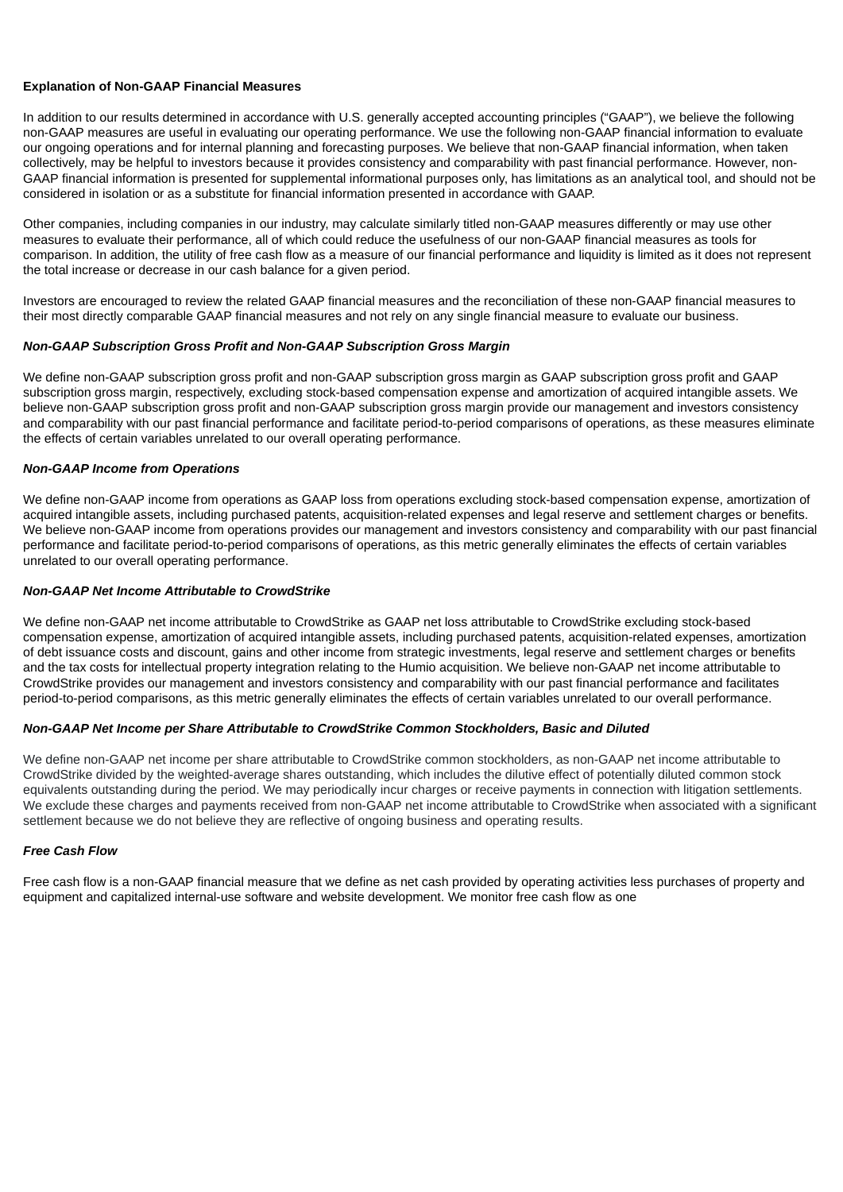### **Explanation of Non-GAAP Financial Measures**

In addition to our results determined in accordance with U.S. generally accepted accounting principles ("GAAP"), we believe the following non-GAAP measures are useful in evaluating our operating performance. We use the following non-GAAP financial information to evaluate our ongoing operations and for internal planning and forecasting purposes. We believe that non-GAAP financial information, when taken collectively, may be helpful to investors because it provides consistency and comparability with past financial performance. However, non-GAAP financial information is presented for supplemental informational purposes only, has limitations as an analytical tool, and should not be considered in isolation or as a substitute for financial information presented in accordance with GAAP.

Other companies, including companies in our industry, may calculate similarly titled non-GAAP measures differently or may use other measures to evaluate their performance, all of which could reduce the usefulness of our non-GAAP financial measures as tools for comparison. In addition, the utility of free cash flow as a measure of our financial performance and liquidity is limited as it does not represent the total increase or decrease in our cash balance for a given period.

Investors are encouraged to review the related GAAP financial measures and the reconciliation of these non-GAAP financial measures to their most directly comparable GAAP financial measures and not rely on any single financial measure to evaluate our business.

### *Non-GAAP Subscription Gross Profit and Non-GAAP Subscription Gross Margin*

We define non-GAAP subscription gross profit and non-GAAP subscription gross margin as GAAP subscription gross profit and GAAP subscription gross margin, respectively, excluding stock-based compensation expense and amortization of acquired intangible assets. We believe non-GAAP subscription gross profit and non-GAAP subscription gross margin provide our management and investors consistency and comparability with our past financial performance and facilitate period-to-period comparisons of operations, as these measures eliminate the effects of certain variables unrelated to our overall operating performance.

### *Non-GAAP Income from Operations*

We define non-GAAP income from operations as GAAP loss from operations excluding stock-based compensation expense, amortization of acquired intangible assets, including purchased patents, acquisition-related expenses and legal reserve and settlement charges or benefits. We believe non-GAAP income from operations provides our management and investors consistency and comparability with our past financial performance and facilitate period-to-period comparisons of operations, as this metric generally eliminates the effects of certain variables unrelated to our overall operating performance.

### *Non-GAAP Net Income Attributable to CrowdStrike*

We define non-GAAP net income attributable to CrowdStrike as GAAP net loss attributable to CrowdStrike excluding stock-based compensation expense, amortization of acquired intangible assets, including purchased patents, acquisition-related expenses, amortization of debt issuance costs and discount, gains and other income from strategic investments, legal reserve and settlement charges or benefits and the tax costs for intellectual property integration relating to the Humio acquisition. We believe non-GAAP net income attributable to CrowdStrike provides our management and investors consistency and comparability with our past financial performance and facilitates period-to-period comparisons, as this metric generally eliminates the effects of certain variables unrelated to our overall performance.

### *Non-GAAP Net Income per Share Attributable to CrowdStrike Common Stockholders, Basic and Diluted*

We define non-GAAP net income per share attributable to CrowdStrike common stockholders, as non-GAAP net income attributable to CrowdStrike divided by the weighted-average shares outstanding, which includes the dilutive effect of potentially diluted common stock equivalents outstanding during the period. We may periodically incur charges or receive payments in connection with litigation settlements. We exclude these charges and payments received from non-GAAP net income attributable to CrowdStrike when associated with a significant settlement because we do not believe they are reflective of ongoing business and operating results.

### *Free Cash Flow*

Free cash flow is a non-GAAP financial measure that we define as net cash provided by operating activities less purchases of property and equipment and capitalized internal-use software and website development. We monitor free cash flow as one